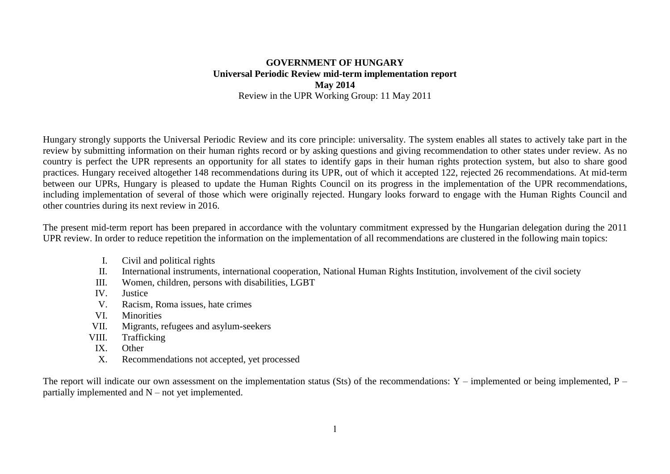## **GOVERNMENT OF HUNGARY Universal Periodic Review mid-term implementation report May 2014** Review in the UPR Working Group: 11 May 2011

Hungary strongly supports the Universal Periodic Review and its core principle: universality. The system enables all states to actively take part in the review by submitting information on their human rights record or by asking questions and giving recommendation to other states under review. As no country is perfect the UPR represents an opportunity for all states to identify gaps in their human rights protection system, but also to share good practices. Hungary received altogether 148 recommendations during its UPR, out of which it accepted 122, rejected 26 recommendations. At mid-term between our UPRs, Hungary is pleased to update the Human Rights Council on its progress in the implementation of the UPR recommendations, including implementation of several of those which were originally rejected. Hungary looks forward to engage with the Human Rights Council and other countries during its next review in 2016.

The present mid-term report has been prepared in accordance with the voluntary commitment expressed by the Hungarian delegation during the 2011 UPR review. In order to reduce repetition the information on the implementation of all recommendations are clustered in the following main topics:

- I. Civil and political rights
- II. International instruments, international cooperation, National Human Rights Institution, involvement of the civil society
- III. Women, children, persons with disabilities, LGBT
- IV. Justice
- V. Racism, Roma issues, hate crimes
- VI. Minorities
- VII. Migrants, refugees and asylum-seekers
- VIII. Trafficking
- IX. Other
- X. Recommendations not accepted, yet processed

The report will indicate our own assessment on the implementation status (Sts) of the recommendations:  $Y$  – implemented or being implemented,  $P$  – partially implemented and N – not yet implemented.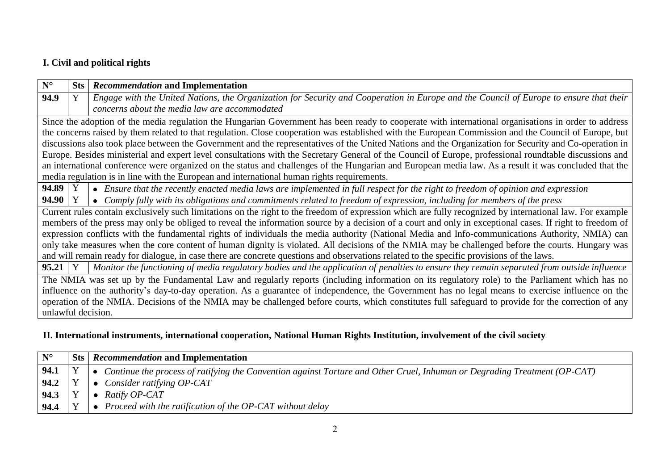# **I. Civil and political rights**

| $N^{\circ}$        | Sts                                                                                                                                                    | Recommendation and Implementation                                                                                                                         |  |  |  |
|--------------------|--------------------------------------------------------------------------------------------------------------------------------------------------------|-----------------------------------------------------------------------------------------------------------------------------------------------------------|--|--|--|
| 94.9               |                                                                                                                                                        | Engage with the United Nations, the Organization for Security and Cooperation in Europe and the Council of Europe to ensure that their                    |  |  |  |
|                    |                                                                                                                                                        | concerns about the media law are accommodated                                                                                                             |  |  |  |
|                    |                                                                                                                                                        | Since the adoption of the media regulation the Hungarian Government has been ready to cooperate with international organisations in order to address      |  |  |  |
|                    |                                                                                                                                                        | the concerns raised by them related to that regulation. Close cooperation was established with the European Commission and the Council of Europe, but     |  |  |  |
|                    |                                                                                                                                                        | discussions also took place between the Government and the representatives of the United Nations and the Organization for Security and Co-operation in    |  |  |  |
|                    |                                                                                                                                                        | Europe. Besides ministerial and expert level consultations with the Secretary General of the Council of Europe, professional roundtable discussions and   |  |  |  |
|                    | an international conference were organized on the status and challenges of the Hungarian and European media law. As a result it was concluded that the |                                                                                                                                                           |  |  |  |
|                    |                                                                                                                                                        | media regulation is in line with the European and international human rights requirements.                                                                |  |  |  |
| 94.89              |                                                                                                                                                        | • Ensure that the recently enacted media laws are implemented in full respect for the right to freedom of opinion and expression                          |  |  |  |
| $94.90 \mid Y$     |                                                                                                                                                        | • Comply fully with its obligations and commitments related to freedom of expression, including for members of the press                                  |  |  |  |
|                    |                                                                                                                                                        | Current rules contain exclusively such limitations on the right to the freedom of expression which are fully recognized by international law. For example |  |  |  |
|                    |                                                                                                                                                        | members of the press may only be obliged to reveal the information source by a decision of a court and only in exceptional cases. If right to freedom of  |  |  |  |
|                    |                                                                                                                                                        | expression conflicts with the fundamental rights of individuals the media authority (National Media and Info-communications Authority, NMIA) can          |  |  |  |
|                    |                                                                                                                                                        | only take measures when the core content of human dignity is violated. All decisions of the NMIA may be challenged before the courts. Hungary was         |  |  |  |
|                    |                                                                                                                                                        | and will remain ready for dialogue, in case there are concrete questions and observations related to the specific provisions of the laws.                 |  |  |  |
| $95.21 \mid Y$     |                                                                                                                                                        | Monitor the functioning of media regulatory bodies and the application of penalties to ensure they remain separated from outside influence                |  |  |  |
|                    |                                                                                                                                                        | The NMIA was set up by the Fundamental Law and regularly reports (including information on its regulatory role) to the Parliament which has no            |  |  |  |
|                    | influence on the authority's day-to-day operation. As a guarantee of independence, the Government has no legal means to exercise influence on the      |                                                                                                                                                           |  |  |  |
|                    | operation of the NMIA. Decisions of the NMIA may be challenged before courts, which constitutes full safeguard to provide for the correction of any    |                                                                                                                                                           |  |  |  |
| unlawful decision. |                                                                                                                                                        |                                                                                                                                                           |  |  |  |

# **II. International instruments, international cooperation, National Human Rights Institution, involvement of the civil society**

| $N^{\circ}$ | Sts   Recommendation and Implementation                                                                                     |
|-------------|-----------------------------------------------------------------------------------------------------------------------------|
| 94.1        | • Continue the process of ratifying the Convention against Torture and Other Cruel, Inhuman or Degrading Treatment (OP-CAT) |
| 94.2        | Consider ratifying OP-CAT                                                                                                   |
| 94.3        | Ratify OP-CAT                                                                                                               |
| 94.4        | • Proceed with the ratification of the OP-CAT without delay                                                                 |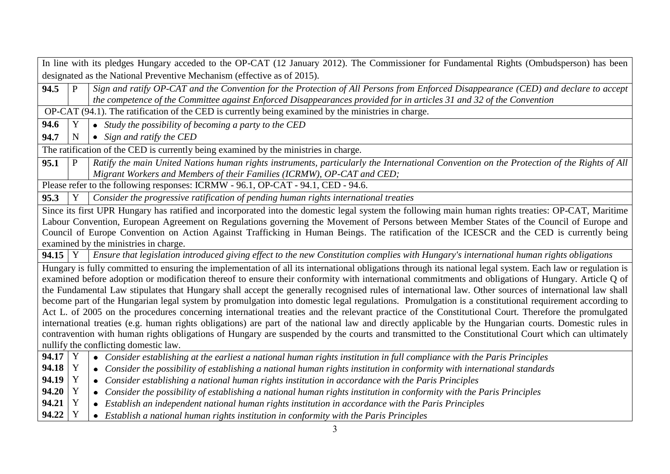|           |              | In line with its pledges Hungary acceded to the OP-CAT (12 January 2012). The Commissioner for Fundamental Rights (Ombudsperson) has been                                                                                                                                                                                                                                                                                                                                                                                                                                                                                                                                                                                                                                                                                                                                                                                                                                                                                                                                                                                                             |
|-----------|--------------|-------------------------------------------------------------------------------------------------------------------------------------------------------------------------------------------------------------------------------------------------------------------------------------------------------------------------------------------------------------------------------------------------------------------------------------------------------------------------------------------------------------------------------------------------------------------------------------------------------------------------------------------------------------------------------------------------------------------------------------------------------------------------------------------------------------------------------------------------------------------------------------------------------------------------------------------------------------------------------------------------------------------------------------------------------------------------------------------------------------------------------------------------------|
|           |              | designated as the National Preventive Mechanism (effective as of 2015).                                                                                                                                                                                                                                                                                                                                                                                                                                                                                                                                                                                                                                                                                                                                                                                                                                                                                                                                                                                                                                                                               |
| 94.5      | $\mathbf{P}$ | Sign and ratify OP-CAT and the Convention for the Protection of All Persons from Enforced Disappearance (CED) and declare to accept<br>the competence of the Committee against Enforced Disappearances provided for in articles 31 and 32 of the Convention                                                                                                                                                                                                                                                                                                                                                                                                                                                                                                                                                                                                                                                                                                                                                                                                                                                                                           |
|           |              | OP-CAT (94.1). The ratification of the CED is currently being examined by the ministries in charge.                                                                                                                                                                                                                                                                                                                                                                                                                                                                                                                                                                                                                                                                                                                                                                                                                                                                                                                                                                                                                                                   |
| 94.6      | Y            | • Study the possibility of becoming a party to the CED                                                                                                                                                                                                                                                                                                                                                                                                                                                                                                                                                                                                                                                                                                                                                                                                                                                                                                                                                                                                                                                                                                |
| 94.7      | $\mathbf N$  | $\bullet$ Sign and ratify the CED                                                                                                                                                                                                                                                                                                                                                                                                                                                                                                                                                                                                                                                                                                                                                                                                                                                                                                                                                                                                                                                                                                                     |
|           |              | The ratification of the CED is currently being examined by the ministries in charge.                                                                                                                                                                                                                                                                                                                                                                                                                                                                                                                                                                                                                                                                                                                                                                                                                                                                                                                                                                                                                                                                  |
| 95.1      | P            | Ratify the main United Nations human rights instruments, particularly the International Convention on the Protection of the Rights of All<br>Migrant Workers and Members of their Families (ICRMW), OP-CAT and CED;                                                                                                                                                                                                                                                                                                                                                                                                                                                                                                                                                                                                                                                                                                                                                                                                                                                                                                                                   |
|           |              | Please refer to the following responses: ICRMW - 96.1, OP-CAT - 94.1, CED - 94.6.                                                                                                                                                                                                                                                                                                                                                                                                                                                                                                                                                                                                                                                                                                                                                                                                                                                                                                                                                                                                                                                                     |
| 95.3      |              | Consider the progressive ratification of pending human rights international treaties                                                                                                                                                                                                                                                                                                                                                                                                                                                                                                                                                                                                                                                                                                                                                                                                                                                                                                                                                                                                                                                                  |
|           |              | Since its first UPR Hungary has ratified and incorporated into the domestic legal system the following main human rights treaties: OP-CAT, Maritime<br>Labour Convention, European Agreement on Regulations governing the Movement of Persons between Member States of the Council of Europe and<br>Council of Europe Convention on Action Against Trafficking in Human Beings. The ratification of the ICESCR and the CED is currently being<br>examined by the ministries in charge.                                                                                                                                                                                                                                                                                                                                                                                                                                                                                                                                                                                                                                                                |
| $94.15$ Y |              | Ensure that legislation introduced giving effect to the new Constitution complies with Hungary's international human rights obligations                                                                                                                                                                                                                                                                                                                                                                                                                                                                                                                                                                                                                                                                                                                                                                                                                                                                                                                                                                                                               |
|           |              | Hungary is fully committed to ensuring the implementation of all its international obligations through its national legal system. Each law or regulation is<br>examined before adoption or modification thereof to ensure their conformity with international commitments and obligations of Hungary. Article Q of<br>the Fundamental Law stipulates that Hungary shall accept the generally recognised rules of international law. Other sources of international law shall<br>become part of the Hungarian legal system by promulgation into domestic legal regulations. Promulgation is a constitutional requirement according to<br>Act L. of 2005 on the procedures concerning international treaties and the relevant practice of the Constitutional Court. Therefore the promulgated<br>international treaties (e.g. human rights obligations) are part of the national law and directly applicable by the Hungarian courts. Domestic rules in<br>contravention with human rights obligations of Hungary are suspended by the courts and transmitted to the Constitutional Court which can ultimately<br>nullify the conflicting domestic law. |
| $94.17$ Y |              | • Consider establishing at the earliest a national human rights institution in full compliance with the Paris Principles                                                                                                                                                                                                                                                                                                                                                                                                                                                                                                                                                                                                                                                                                                                                                                                                                                                                                                                                                                                                                              |
| 94.18     | Y            | Consider the possibility of establishing a national human rights institution in conformity with international standards<br>$\bullet$                                                                                                                                                                                                                                                                                                                                                                                                                                                                                                                                                                                                                                                                                                                                                                                                                                                                                                                                                                                                                  |
| 94.19     | Y            | Consider establishing a national human rights institution in accordance with the Paris Principles<br>٠                                                                                                                                                                                                                                                                                                                                                                                                                                                                                                                                                                                                                                                                                                                                                                                                                                                                                                                                                                                                                                                |
| 94.20     | Y            | Consider the possibility of establishing a national human rights institution in conformity with the Paris Principles                                                                                                                                                                                                                                                                                                                                                                                                                                                                                                                                                                                                                                                                                                                                                                                                                                                                                                                                                                                                                                  |
| 94.21     | Y            | Establish an independent national human rights institution in accordance with the Paris Principles<br>$\bullet$                                                                                                                                                                                                                                                                                                                                                                                                                                                                                                                                                                                                                                                                                                                                                                                                                                                                                                                                                                                                                                       |
| 94.22     | Y            | Establish a national human rights institution in conformity with the Paris Principles                                                                                                                                                                                                                                                                                                                                                                                                                                                                                                                                                                                                                                                                                                                                                                                                                                                                                                                                                                                                                                                                 |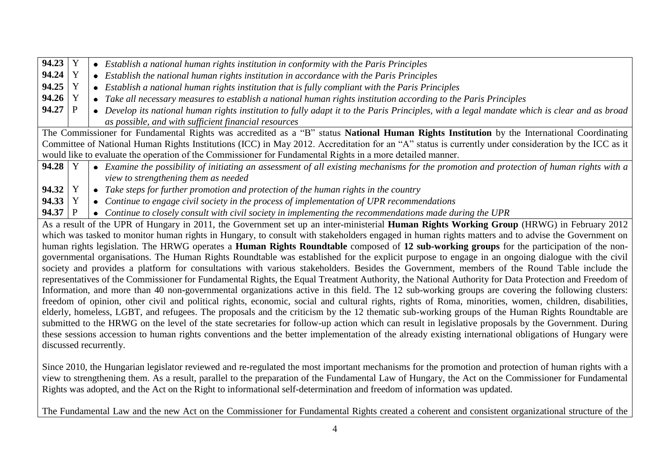| 94.23 Y                |   |           | • Establish a national human rights institution in conformity with the Paris Principles                                                                |
|------------------------|---|-----------|--------------------------------------------------------------------------------------------------------------------------------------------------------|
| 94.24   Y              |   | $\bullet$ | Establish the national human rights institution in accordance with the Paris Principles                                                                |
| $94.25$ Y              |   |           | • Establish a national human rights institution that is fully compliant with the Paris Principles                                                      |
| 94.26   Y              |   | $\bullet$ | Take all necessary measures to establish a national human rights institution according to the Paris Principles                                         |
| 94.27                  | P | $\bullet$ | Develop its national human rights institution to fully adapt it to the Paris Principles, with a legal mandate which is clear and as broad              |
|                        |   |           | as possible, and with sufficient financial resources                                                                                                   |
|                        |   |           | The Commissioner for Fundamental Rights was accredited as a "B" status National Human Rights Institution by the International Coordinating             |
|                        |   |           | Committee of National Human Rights Institutions (ICC) in May 2012. Accreditation for an "A" status is currently under consideration by the ICC as it   |
|                        |   |           | would like to evaluate the operation of the Commissioner for Fundamental Rights in a more detailed manner.                                             |
| $94.28$ Y              |   |           | • Examine the possibility of initiating an assessment of all existing mechanisms for the promotion and protection of human rights with a               |
|                        |   |           | view to strengthening them as needed                                                                                                                   |
| $94.32 \mid Y$         |   |           | • Take steps for further promotion and protection of the human rights in the country                                                                   |
| $94.33 \mid Y$         |   |           | • Continue to engage civil society in the process of implementation of UPR recommendations                                                             |
| $94.37$ P              |   |           | • Continue to closely consult with civil society in implementing the recommendations made during the UPR                                               |
|                        |   |           | As a result of the UPR of Hungary in 2011, the Government set up an inter-ministerial Human Rights Working Group (HRWG) in February 2012               |
|                        |   |           | which was tasked to monitor human rights in Hungary, to consult with stakeholders engaged in human rights matters and to advise the Government on      |
|                        |   |           | human rights legislation. The HRWG operates a <b>Human Rights Roundtable</b> composed of 12 sub-working groups for the participation of the non-       |
|                        |   |           | governmental organisations. The Human Rights Roundtable was established for the explicit purpose to engage in an ongoing dialogue with the civil       |
|                        |   |           | society and provides a platform for consultations with various stakeholders. Besides the Government, members of the Round Table include the            |
|                        |   |           | representatives of the Commissioner for Fundamental Rights, the Equal Treatment Authority, the National Authority for Data Protection and Freedom of   |
|                        |   |           | Information, and more than 40 non-governmental organizations active in this field. The 12 sub-working groups are covering the following clusters:      |
|                        |   |           | freedom of opinion, other civil and political rights, economic, social and cultural rights, rights of Roma, minorities, women, children, disabilities, |
|                        |   |           | elderly, homeless, LGBT, and refugees. The proposals and the criticism by the 12 thematic sub-working groups of the Human Rights Roundtable are        |
|                        |   |           | submitted to the HRWG on the level of the state secretaries for follow-up action which can result in legislative proposals by the Government. During   |
|                        |   |           | these sessions accession to human rights conventions and the better implementation of the already existing international obligations of Hungary were   |
| discussed recurrently. |   |           |                                                                                                                                                        |

Since 2010, the Hungarian legislator reviewed and re-regulated the most important mechanisms for the promotion and protection of human rights with a view to strengthening them. As a result, parallel to the preparation of the Fundamental Law of Hungary, the Act on the Commissioner for Fundamental Rights was adopted, and the Act on the Right to informational self-determination and freedom of information was updated.

The Fundamental Law and the new Act on the Commissioner for Fundamental Rights created a coherent and consistent organizational structure of the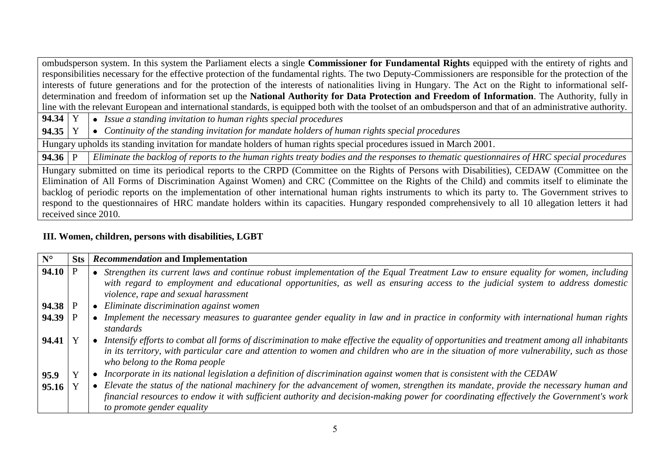ombudsperson system. In this system the Parliament elects a single **Commissioner for Fundamental Rights** equipped with the entirety of rights and responsibilities necessary for the effective protection of the fundamental rights. The two Deputy-Commissioners are responsible for the protection of the interests of future generations and for the protection of the interests of nationalities living in Hungary. The Act on the Right to informational selfdetermination and freedom of information set up the **National Authority for Data Protection and Freedom of Information**. The Authority, fully in line with the relevant European and international standards, is equipped both with the toolset of an ombudsperson and that of an administrative authority.

**94.34** Y *Issue a standing invitation to human rights special procedures* 

**94.35** Y *Continuity of the standing invitation for mandate holders of human rights special procedures*

Hungary upholds its standing invitation for mandate holders of human rights special procedures issued in March 2001.

**94.36** P *Eliminate the backlog of reports to the human rights treaty bodies and the responses to thematic questionnaires of HRC special procedures* 

Hungary submitted on time its periodical reports to the CRPD (Committee on the Rights of Persons with Disabilities), CEDAW (Committee on the Elimination of All Forms of Discrimination Against Women) and CRC (Committee on the Rights of the Child) and commits itself to eliminate the backlog of periodic reports on the implementation of other international human rights instruments to which its party to. The Government strives to respond to the questionnaires of HRC mandate holders within its capacities. Hungary responded comprehensively to all 10 allegation letters it had received since 2010.

# **III. Women, children, persons with disabilities, LGBT**

| $N^{\circ}$ | <b>Sts</b> | Recommendation and Implementation                                                                                                                                                                                                                                                                                        |
|-------------|------------|--------------------------------------------------------------------------------------------------------------------------------------------------------------------------------------------------------------------------------------------------------------------------------------------------------------------------|
| 94.10       |            | Strengthen its current laws and continue robust implementation of the Equal Treatment Law to ensure equality for women, including<br>with regard to employment and educational opportunities, as well as ensuring access to the judicial system to address domestic<br>violence, rape and sexual harassment              |
| 94.38       |            | Eliminate discrimination against women                                                                                                                                                                                                                                                                                   |
| 94.39       |            | Implement the necessary measures to guarantee gender equality in law and in practice in conformity with international human rights<br>standards                                                                                                                                                                          |
| 94.41       |            | Intensify efforts to combat all forms of discrimination to make effective the equality of opportunities and treatment among all inhabitants<br>in its territory, with particular care and attention to women and children who are in the situation of more vulnerability, such as those<br>who belong to the Roma people |
| 95.9        |            | Incorporate in its national legislation a definition of discrimination against women that is consistent with the CEDAW                                                                                                                                                                                                   |
| 95.16       |            | Elevate the status of the national machinery for the advancement of women, strengthen its mandate, provide the necessary human and                                                                                                                                                                                       |
|             |            | financial resources to endow it with sufficient authority and decision-making power for coordinating effectively the Government's work<br>to promote gender equality                                                                                                                                                     |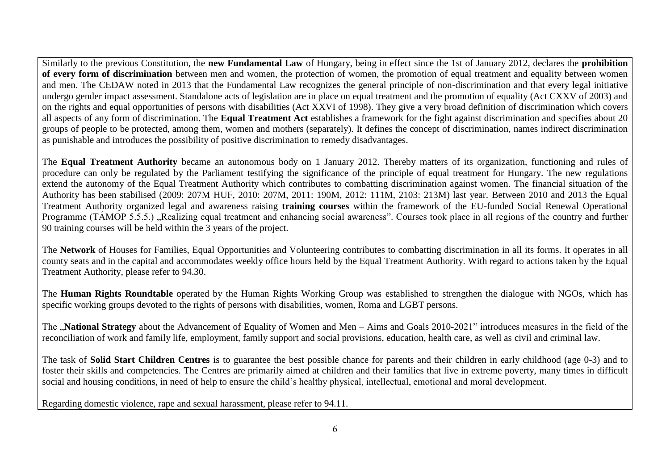Similarly to the previous Constitution, the **new Fundamental Law** of Hungary, being in effect since the 1st of January 2012, declares the **prohibition of every form of discrimination** between men and women, the protection of women, the promotion of equal treatment and equality between women and men. The CEDAW noted in 2013 that the Fundamental Law recognizes the general principle of non-discrimination and that every legal initiative undergo gender impact assessment. Standalone acts of legislation are in place on equal treatment and the promotion of equality (Act CXXV of 2003) and on the rights and equal opportunities of persons with disabilities (Act XXVI of 1998). They give a very broad definition of discrimination which covers all aspects of any form of discrimination. The **Equal Treatment Act** establishes a framework for the fight against discrimination and specifies about 20 groups of people to be protected, among them, women and mothers (separately). It defines the concept of discrimination, names indirect discrimination as punishable and introduces the possibility of positive discrimination to remedy disadvantages.

The **Equal Treatment Authority** became an autonomous body on 1 January 2012. Thereby matters of its organization, functioning and rules of procedure can only be regulated by the Parliament testifying the significance of the principle of equal treatment for Hungary. The new regulations extend the autonomy of the Equal Treatment Authority which contributes to combatting discrimination against women. The financial situation of the Authority has been stabilised (2009: 207M HUF, 2010: 207M, 2011: 190M, 2012: 111M, 2103: 213M) last year. Between 2010 and 2013 the Equal Treatment Authority organized legal and awareness raising **training courses** within the framework of the EU-funded Social Renewal Operational Programme (TÁMOP 5.5.5.) Realizing equal treatment and enhancing social awareness". Courses took place in all regions of the country and further 90 training courses will be held within the 3 years of the project.

The **Network** of Houses for Families, Equal Opportunities and Volunteering contributes to combatting discrimination in all its forms. It operates in all county seats and in the capital and accommodates weekly office hours held by the Equal Treatment Authority. With regard to actions taken by the Equal Treatment Authority, please refer to 94.30.

The **Human Rights Roundtable** operated by the Human Rights Working Group was established to strengthen the dialogue with NGOs, which has specific working groups devoted to the rights of persons with disabilities, women, Roma and LGBT persons.

The "National Strategy about the Advancement of Equality of Women and Men – Aims and Goals 2010-2021" introduces measures in the field of the reconciliation of work and family life, employment, family support and social provisions, education, health care, as well as civil and criminal law.

The task of **Solid Start Children Centres** is to guarantee the best possible chance for parents and their children in early childhood (age 0-3) and to foster their skills and competencies. The Centres are primarily aimed at children and their families that live in extreme poverty, many times in difficult social and housing conditions, in need of help to ensure the child's healthy physical, intellectual, emotional and moral development.

Regarding domestic violence, rape and sexual harassment, please refer to 94.11.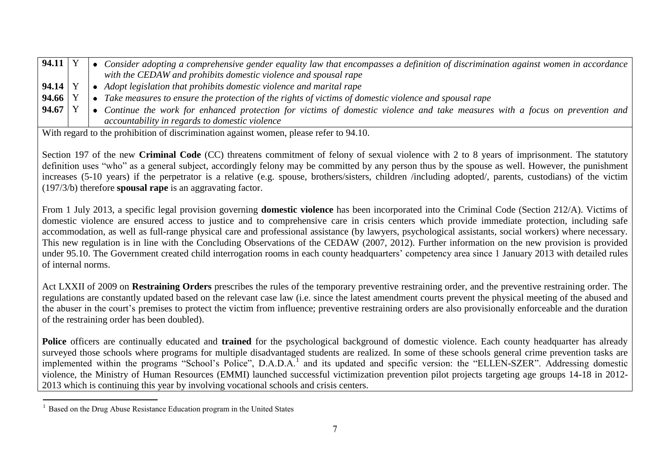| 94.11     |  | Consider adopting a comprehensive gender equality law that encompasses a definition of discrimination against women in accordance |
|-----------|--|-----------------------------------------------------------------------------------------------------------------------------------|
|           |  | with the CEDAW and prohibits domestic violence and spousal rape                                                                   |
| $94.14$ Y |  | Adopt legislation that prohibits domestic violence and marital rape                                                               |
| $94.66$ Y |  | Take measures to ensure the protection of the rights of victims of domestic violence and spousal rape                             |
| 94.67     |  | Continue the work for enhanced protection for victims of domestic violence and take measures with a focus on prevention and       |
|           |  | accountability in regards to domestic violence                                                                                    |

With regard to the prohibition of discrimination against women, please refer to 94.10.

Section 197 of the new **Criminal Code** (CC) threatens commitment of felony of sexual violence with 2 to 8 years of imprisonment. The statutory definition uses "who" as a general subject, accordingly felony may be committed by any person thus by the spouse as well. However, the punishment increases (5-10 years) if the perpetrator is a relative (e.g. spouse, brothers/sisters, children /including adopted/, parents, custodians) of the victim (197/3/b) therefore **spousal rape** is an aggravating factor.

From 1 July 2013, a specific legal provision governing **domestic violence** has been incorporated into the Criminal Code (Section 212/A). Victims of domestic violence are ensured access to justice and to comprehensive care in crisis centers which provide immediate protection, including safe accommodation, as well as full-range physical care and professional assistance (by lawyers, psychological assistants, social workers) where necessary. This new regulation is in line with the Concluding Observations of the CEDAW (2007, 2012). Further information on the new provision is provided under 95.10. The Government created child interrogation rooms in each county headquarters' competency area since 1 January 2013 with detailed rules of internal norms.

Act LXXII of 2009 on **Restraining Orders** prescribes the rules of the temporary preventive restraining order, and the preventive restraining order. The regulations are constantly updated based on the relevant case law (i.e. since the latest amendment courts prevent the physical meeting of the abused and the abuser in the court's premises to protect the victim from influence; preventive restraining orders are also provisionally enforceable and the duration of the restraining order has been doubled).

**Police** officers are continually educated and **trained** for the psychological background of domestic violence. Each county headquarter has already surveyed those schools where programs for multiple disadvantaged students are realized. In some of these schools general crime prevention tasks are implemented within the programs "School's Police", D.A.D.A.<sup>1</sup> and its updated and specific version: the "ELLEN-SZER". Addressing domestic violence, the Ministry of Human Resources (EMMI) launched successful victimization prevention pilot projects targeting age groups 14-18 in 2012- 2013 which is continuing this year by involving vocational schools and crisis centers.

 $\overline{a}$ 

<sup>&</sup>lt;sup>1</sup> Based on the Drug Abuse Resistance Education program in the United States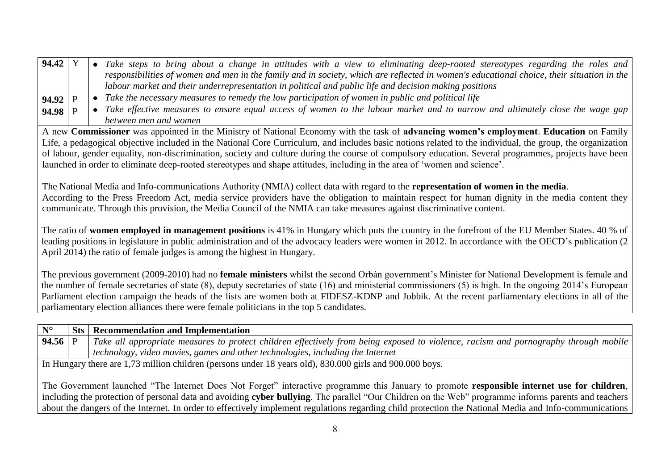| 94.42   |  | Take steps to bring about a change in attitudes with a view to eliminating deep-rooted stereotypes regarding the roles and                |
|---------|--|-------------------------------------------------------------------------------------------------------------------------------------------|
|         |  | responsibilities of women and men in the family and in society, which are reflected in women's educational choice, their situation in the |
|         |  | labour market and their underrepresentation in political and public life and decision making positions                                    |
| 94.92 P |  | • Take the necessary measures to remedy the low participation of women in public and political life                                       |
| 94.98 P |  | • Take effective measures to ensure equal access of women to the labour market and to narrow and ultimately close the wage gap            |
|         |  | between men and women                                                                                                                     |

A new **Commissioner** was appointed in the Ministry of National Economy with the task of **advancing women's employment**. **Education** on Family Life, a pedagogical objective included in the National Core Curriculum, and includes basic notions related to the individual, the group, the organization of labour, gender equality, non-discrimination, society and culture during the course of compulsory education. Several programmes, projects have been launched in order to eliminate deep-rooted stereotypes and shape attitudes, including in the area of 'women and science'.

The National Media and Info-communications Authority (NMIA) collect data with regard to the **representation of women in the media**. According to the Press Freedom Act, media service providers have the obligation to maintain respect for human dignity in the media content they communicate. Through this provision, the Media Council of the NMIA can take measures against discriminative content.

The ratio of **women employed in management positions** is 41% in Hungary which puts the country in the forefront of the EU Member States. 40 % of leading positions in legislature in public administration and of the advocacy leaders were women in 2012. In accordance with the OECD's publication (2 April 2014) the ratio of female judges is among the highest in Hungary.

The previous government (2009-2010) had no **female ministers** whilst the second Orbán government's Minister for National Development is female and the number of female secretaries of state (8), deputy secretaries of state (16) and ministerial commissioners (5) is high. In the ongoing 2014's European Parliament election campaign the heads of the lists are women both at FIDESZ-KDNP and Jobbik. At the recent parliamentary elections in all of the parliamentary election alliances there were female politicians in the top 5 candidates.

| $N^{\circ}$ | <b>Sts</b>   Recommendation and Implementation                                                                                      |
|-------------|-------------------------------------------------------------------------------------------------------------------------------------|
| 94.56   P   | Take all appropriate measures to protect children effectively from being exposed to violence, racism and pornography through mobile |
|             | technology, video movies, games and other technologies, including the Internet                                                      |
|             | In Hungary there are 1,73 million children (persons under 18 years old), 830.000 girls and 900.000 boys.                            |

The Government launched "The Internet Does Not Forget" interactive programme this January to promote **responsible internet use for children**, including the protection of personal data and avoiding **cyber bullying**. The parallel "Our Children on the Web" programme informs parents and teachers about the dangers of the Internet. In order to effectively implement regulations regarding child protection the National Media and Info-communications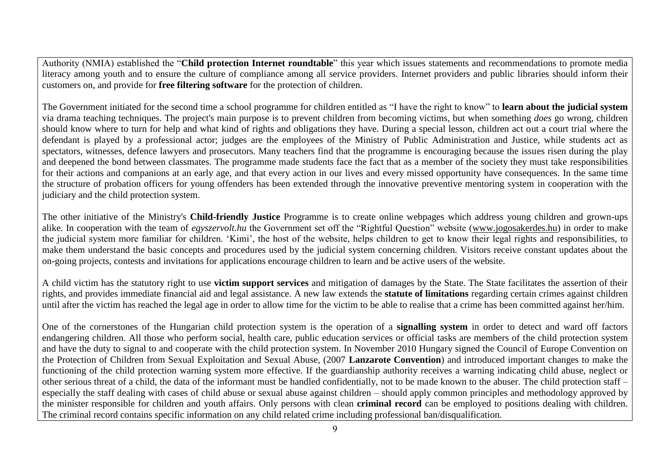Authority (NMIA) established the "**Child protection Internet roundtable**" this year which issues statements and recommendations to promote media literacy among youth and to ensure the culture of compliance among all service providers. Internet providers and public libraries should inform their customers on, and provide for **free filtering software** for the protection of children.

The Government initiated for the second time a school programme for children entitled as "I have the right to know" to **learn about the judicial system** via drama teaching techniques. The project's main purpose is to prevent children from becoming victims, but when something *does* go wrong, children should know where to turn for help and what kind of rights and obligations they have. During a special lesson, children act out a court trial where the defendant is played by a professional actor; judges are the employees of the Ministry of Public Administration and Justice, while students act as spectators, witnesses, defence lawyers and prosecutors. Many teachers find that the programme is encouraging because the issues risen during the play and deepened the bond between classmates. The programme made students face the fact that as a member of the society they must take responsibilities for their actions and companions at an early age, and that every action in our lives and every missed opportunity have consequences. In the same time the structure of probation officers for young offenders has been extended through the innovative preventive mentoring system in cooperation with the judiciary and the child protection system.

The other initiative of the Ministry's **Child-friendly Justice** Programme is to create online webpages which address young children and grown-ups alike. In cooperation with the team of *egyszervolt.hu* the Government set off the "Rightful Question" website [\(www.jogosakerdes.hu\)](http://www.jogosakerdes.hu/) in order to make the judicial system more familiar for children. 'Kimi', the host of the website, helps children to get to know their legal rights and responsibilities, to make them understand the basic concepts and procedures used by the judicial system concerning children. Visitors receive constant updates about the on-going projects, contests and invitations for applications encourage children to learn and be active users of the website.

A child victim has the statutory right to use **victim support services** and mitigation of damages by the State. The State facilitates the assertion of their rights, and provides immediate financial aid and legal assistance. A new law extends the **statute of limitations** regarding certain crimes against children until after the victim has reached the legal age in order to allow time for the victim to be able to realise that a crime has been committed against her/him.

One of the cornerstones of the Hungarian child protection system is the operation of a **signalling system** in order to detect and ward off factors endangering children. All those who perform social, health care, public education services or official tasks are members of the child protection system and have the duty to signal to and cooperate with the child protection system. In November 2010 Hungary signed the Council of Europe Convention on the Protection of Children from Sexual Exploitation and Sexual Abuse, (2007 **Lanzarote Convention**) and introduced important changes to make the functioning of the child protection warning system more effective. If the guardianship authority receives a warning indicating child abuse, neglect or other serious threat of a child, the data of the informant must be handled confidentially, not to be made known to the abuser. The child protection staff – especially the staff dealing with cases of child abuse or sexual abuse against children – should apply common principles and methodology approved by the minister responsible for children and youth affairs. Only persons with clean **criminal record** can be employed to positions dealing with children. The criminal record contains specific information on any child related crime including professional ban/disqualification.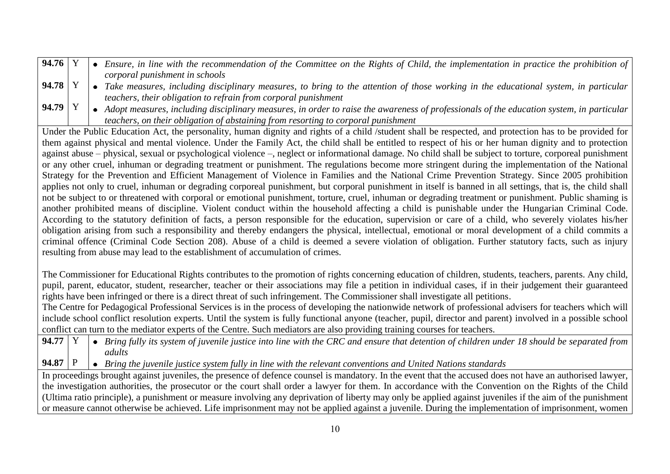| $94.76$ Y |  | • Ensure, in line with the recommendation of the Committee on the Rights of Child, the implementation in practice the prohibition of $\vert$ |
|-----------|--|----------------------------------------------------------------------------------------------------------------------------------------------|
|           |  | corporal punishment in schools                                                                                                               |
| $94.78$ Y |  | • Take measures, including disciplinary measures, to bring to the attention of those working in the educational system, in particular $ $    |
|           |  | teachers, their obligation to refrain from corporal punishment                                                                               |

**94.79** Y • Adopt measures, including disciplinary measures, in order to raise the awareness of professionals of the education system, in particular *teachers, on their obligation of abstaining from resorting to corporal punishment*

Under the Public Education Act, the personality, human dignity and rights of a child /student shall be respected, and protection has to be provided for them against physical and mental violence. Under the Family Act, the child shall be entitled to respect of his or her human dignity and to protection against abuse – physical, sexual or psychological violence –, neglect or informational damage. No child shall be subject to torture, corporeal punishment or any other cruel, inhuman or degrading treatment or punishment. The regulations become more stringent during the implementation of the National Strategy for the Prevention and Efficient Management of Violence in Families and the National Crime Prevention Strategy. Since 2005 prohibition applies not only to cruel, inhuman or degrading corporeal punishment, but corporal punishment in itself is banned in all settings, that is, the child shall not be subject to or threatened with corporal or emotional punishment, torture, cruel, inhuman or degrading treatment or punishment. Public shaming is another prohibited means of discipline. Violent conduct within the household affecting a child is punishable under the Hungarian Criminal Code. According to the statutory definition of facts, a person responsible for the education, supervision or care of a child, who severely violates his/her obligation arising from such a responsibility and thereby endangers the physical, intellectual, emotional or moral development of a child commits a criminal offence (Criminal Code Section 208). Abuse of a child is deemed a severe violation of obligation. Further statutory facts, such as injury resulting from abuse may lead to the establishment of accumulation of crimes.

The Commissioner for Educational Rights contributes to the promotion of rights concerning education of children, students, teachers, parents. Any child, pupil, parent, educator, student, researcher, teacher or their associations may file a petition in individual cases, if in their judgement their guaranteed rights have been infringed or there is a direct threat of such infringement. The Commissioner shall investigate all petitions.

The Centre for Pedagogical Professional Services is in the process of developing the nationwide network of professional advisers for teachers which will include school conflict resolution experts. Until the system is fully functional anyone (teacher, pupil, director and parent) involved in a possible school conflict can turn to the mediator experts of the Centre. Such mediators are also providing training courses for teachers.

**94.77** Y *Bring fully its system of juvenile justice into line with the CRC and ensure that detention of children under 18 should be separated from adults* 

**94.87** P *Bring the juvenile justice system fully in line with the relevant conventions and United Nations standards*

In proceedings brought against juveniles, the presence of defence counsel is mandatory. In the event that the accused does not have an authorised lawyer, the investigation authorities, the prosecutor or the court shall order a lawyer for them. In accordance with the Convention on the Rights of the Child (Ultima ratio principle), a punishment or measure involving any deprivation of liberty may only be applied against juveniles if the aim of the punishment or measure cannot otherwise be achieved. Life imprisonment may not be applied against a juvenile. During the implementation of imprisonment, women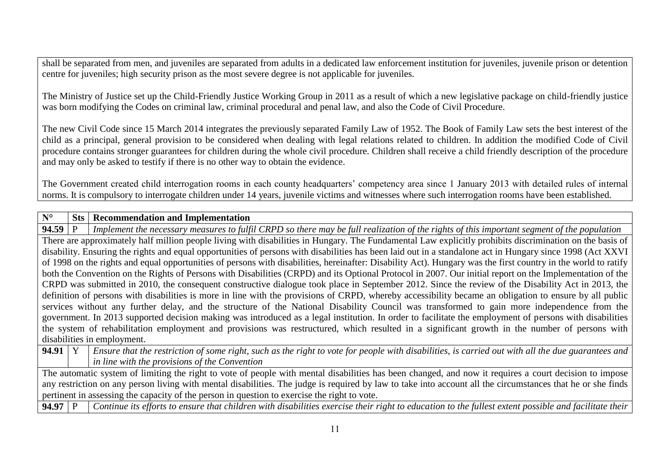shall be separated from men, and juveniles are separated from adults in a dedicated law enforcement institution for juveniles, juvenile prison or detention centre for juveniles; high security prison as the most severe degree is not applicable for juveniles.

The Ministry of Justice set up the Child-Friendly Justice Working Group in 2011 as a result of which a new legislative package on child-friendly justice was born modifying the Codes on criminal law, criminal procedural and penal law, and also the Code of Civil Procedure.

The new Civil Code since 15 March 2014 integrates the previously separated Family Law of 1952. The Book of Family Law sets the best interest of the child as a principal, general provision to be considered when dealing with legal relations related to children. In addition the modified Code of Civil procedure contains stronger guarantees for children during the whole civil procedure. Children shall receive a child friendly description of the procedure and may only be asked to testify if there is no other way to obtain the evidence.

The Government created child interrogation rooms in each county headquarters' competency area since 1 January 2013 with detailed rules of internal norms. It is compulsory to interrogate children under 14 years, juvenile victims and witnesses where such interrogation rooms have been established.

#### **N° Sts Recommendation and Implementation**

**94.59** P *Implement the necessary measures to fulfil CRPD so there may be full realization of the rights of this important segment of the population*  There are approximately half million people living with disabilities in Hungary. The Fundamental Law explicitly prohibits discrimination on the basis of disability. Ensuring the rights and equal opportunities of persons with disabilities has been laid out in a standalone act in Hungary since 1998 (Act XXVI of 1998 on the rights and equal opportunities of persons with disabilities, hereinafter: Disability Act). Hungary was the first country in the world to ratify both the Convention on the Rights of Persons with Disabilities (CRPD) and its Optional Protocol in 2007. Our initial report on the Implementation of the CRPD was submitted in 2010, the consequent constructive dialogue took place in September 2012. Since the review of the Disability Act in 2013, the definition of persons with disabilities is more in line with the provisions of CRPD, whereby accessibility became an obligation to ensure by all public services without any further delay, and the structure of the National Disability Council was transformed to gain more independence from the government. In 2013 supported decision making was introduced as a legal institution. In order to facilitate the employment of persons with disabilities the system of rehabilitation employment and provisions was restructured, which resulted in a significant growth in the number of persons with disabilities in employment.

**94.91** Y *Ensure that the restriction of some right, such as the right to vote for people with disabilities, is carried out with all the due guarantees and in line with the provisions of the Convention* 

The automatic system of limiting the right to vote of people with mental disabilities has been changed, and now it requires a court decision to impose any restriction on any person living with mental disabilities. The judge is required by law to take into account all the circumstances that he or she finds pertinent in assessing the capacity of the person in question to exercise the right to vote.

**94.97** P *Continue its efforts to ensure that children with disabilities exercise their right to education to the fullest extent possible and facilitate their*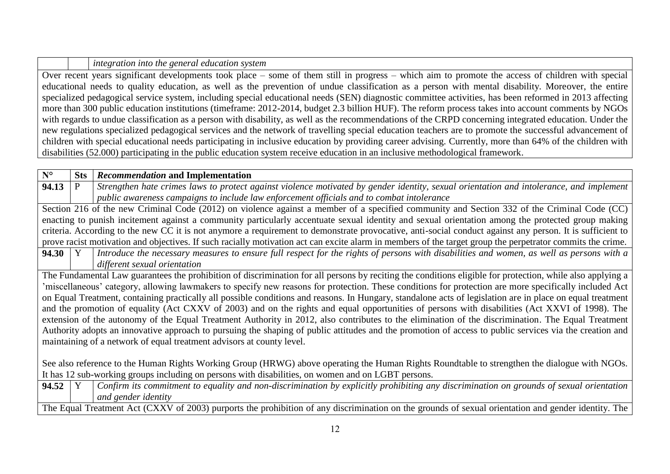*integration into the general education system* 

Over recent years significant developments took place – some of them still in progress – which aim to promote the access of children with special educational needs to quality education, as well as the prevention of undue classification as a person with mental disability. Moreover, the entire specialized pedagogical service system, including special educational needs (SEN) diagnostic committee activities, has been reformed in 2013 affecting more than 300 public education institutions (timeframe: 2012-2014, budget 2.3 billion HUF). The reform process takes into account comments by NGOs with regards to undue classification as a person with disability, as well as the recommendations of the CRPD concerning integrated education. Under the new regulations specialized pedagogical services and the network of travelling special education teachers are to promote the successful advancement of children with special educational needs participating in inclusive education by providing career advising. Currently, more than 64% of the children with disabilities (52.000) participating in the public education system receive education in an inclusive methodological framework.

| $N^{\circ}$    | <b>Sts</b> | Recommendation and Implementation                                                                                                                          |
|----------------|------------|------------------------------------------------------------------------------------------------------------------------------------------------------------|
| 94.13          |            | Strengthen hate crimes laws to protect against violence motivated by gender identity, sexual orientation and intolerance, and implement                    |
|                |            | public awareness campaigns to include law enforcement officials and to combat intolerance                                                                  |
|                |            | Section 216 of the new Criminal Code (2012) on violence against a member of a specified community and Section 332 of the Criminal Code (CC)                |
|                |            | enacting to punish incitement against a community particularly accentuate sexual identity and sexual orientation among the protected group making          |
|                |            | criteria. According to the new CC it is not anymore a requirement to demonstrate provocative, anti-social conduct against any person. It is sufficient to  |
|                |            | prove racist motivation and objectives. If such racially motivation act can excite alarm in members of the target group the perpetrator commits the crime. |
| $94.30 \mid Y$ |            | Introduce the necessary measures to ensure full respect for the rights of persons with disabilities and women, as well as persons with a                   |
|                |            | different sexual orientation                                                                                                                               |
|                |            | The Fundamental Law guarantees the prohibition of discrimination for all persons by reciting the conditions eligible for protection, while also applying a |
|                |            | miscellaneous' category, allowing lawmakers to specify new reasons for protection. These conditions for protection are more specifically included Act      |
|                |            | on Equal Treatment, containing practically all possible conditions and reasons. In Hungary, standalone acts of legislation are in place on equal treatment |
|                |            | and the promotion of equality (Act CXXV of 2003) and on the rights and equal opportunities of persons with disabilities (Act XXVI of 1998). The            |
|                |            | extension of the autonomy of the Equal Treatment Authority in 2012, also contributes to the elimination of the discrimination. The Equal Treatment         |
|                |            | Authority adopts an innovative approach to pursuing the shaping of public attitudes and the promotion of access to public services via the creation and    |
|                |            | maintaining of a network of equal treatment advisors at county level.                                                                                      |
|                |            |                                                                                                                                                            |
|                |            | See also reference to the Human Rights Working Group (HRWG) above operating the Human Rights Roundtable to strengthen the dialogue with NGOs.              |
|                |            | It has 12 sub-working groups including on persons with disabilities, on women and on LGBT persons.                                                         |
| 94.52          |            | Confirm its commitment to equality and non-discrimination by explicitly prohibiting any discrimination on grounds of sexual orientation                    |
|                |            | and gender identity                                                                                                                                        |
|                |            | The Equal Treatment Act (CXXV of 2003) purports the prohibition of any discrimination on the grounds of sexual orientation and gender identity. The        |
|                |            |                                                                                                                                                            |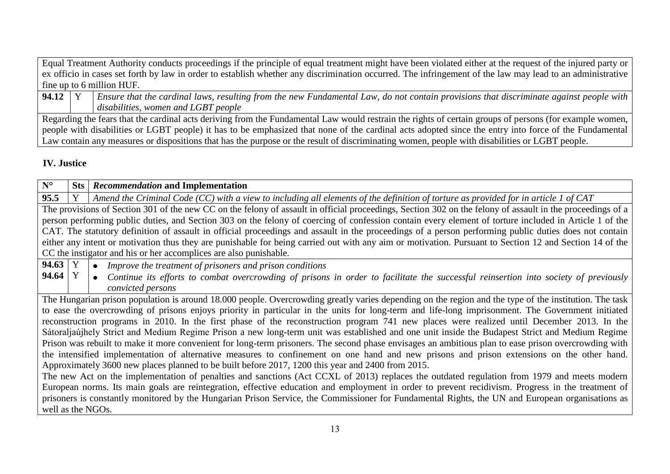Equal Treatment Authority conducts proceedings if the principle of equal treatment might have been violated either at the request of the injured party or ex officio in cases set forth by law in order to establish whether any discrimination occurred. The infringement of the law may lead to an administrative fine up to 6 million HUF.

**94.12** Y *Ensure that the cardinal laws, resulting from the new Fundamental Law, do not contain provisions that discriminate against people with disabilities, women and LGBT people*

Regarding the fears that the cardinal acts deriving from the Fundamental Law would restrain the rights of certain groups of persons (for example women, people with disabilities or LGBT people) it has to be emphasized that none of the cardinal acts adopted since the entry into force of the Fundamental Law contain any measures or dispositions that has the purpose or the result of discriminating women, people with disabilities or LGBT people.

## **IV. Justice**

| $N^{\circ}$       |                                                                                                                                                        | <b>Sts</b>   <i>Recommendation</i> and Implementation                                                                                                      |  |  |  |
|-------------------|--------------------------------------------------------------------------------------------------------------------------------------------------------|------------------------------------------------------------------------------------------------------------------------------------------------------------|--|--|--|
| 95.5              | Y                                                                                                                                                      | Amend the Criminal Code (CC) with a view to including all elements of the definition of torture as provided for in article 1 of CAT                        |  |  |  |
|                   |                                                                                                                                                        | The provisions of Section 301 of the new CC on the felony of assault in official proceedings, Section 302 on the felony of assault in the proceedings of a |  |  |  |
|                   | person performing public duties, and Section 303 on the felony of coercing of confession contain every element of torture included in Article 1 of the |                                                                                                                                                            |  |  |  |
|                   |                                                                                                                                                        | CAT. The statutory definition of assault in official proceedings and assault in the proceedings of a person performing public duties does not contain      |  |  |  |
|                   |                                                                                                                                                        | either any intent or motivation thus they are punishable for being carried out with any aim or motivation. Pursuant to Section 12 and Section 14 of the    |  |  |  |
|                   |                                                                                                                                                        | CC the instigator and his or her accomplices are also punishable.                                                                                          |  |  |  |
| 94.63   Y         |                                                                                                                                                        | Improve the treatment of prisoners and prison conditions<br>$\bullet$                                                                                      |  |  |  |
| 94.64             | $\mathbf Y$                                                                                                                                            | Continue its efforts to combat overcrowding of prisons in order to facilitate the successful reinsertion into society of previously<br>$\bullet$           |  |  |  |
|                   |                                                                                                                                                        | convicted persons                                                                                                                                          |  |  |  |
|                   |                                                                                                                                                        | The Hungarian prison population is around 18.000 people. Overcrowding greatly varies depending on the region and the type of the institution. The task     |  |  |  |
|                   |                                                                                                                                                        | to ease the overcrowding of prisons enjoys priority in particular in the units for long-term and life-long imprisonment. The Government initiated          |  |  |  |
|                   |                                                                                                                                                        | reconstruction programs in 2010. In the first phase of the reconstruction program 741 new places were realized until December 2013. In the                 |  |  |  |
|                   |                                                                                                                                                        | Sátoraljaújhely Strict and Medium Regime Prison a new long-term unit was established and one unit inside the Budapest Strict and Medium Regime             |  |  |  |
|                   |                                                                                                                                                        | Prison was rebuilt to make it more convenient for long-term prisoners. The second phase envisages an ambitious plan to ease prison overcrowding with       |  |  |  |
|                   |                                                                                                                                                        | the intensified implementation of alternative measures to confinement on one hand and new prisons and prison extensions on the other hand.                 |  |  |  |
|                   |                                                                                                                                                        | Approximately 3600 new places planned to be built before 2017, 1200 this year and 2400 from 2015.                                                          |  |  |  |
|                   |                                                                                                                                                        | The new Act on the implementation of penalties and sanctions (Act CCXL of 2013) replaces the outdated regulation from 1979 and meets modern                |  |  |  |
|                   |                                                                                                                                                        | European norms. Its main goals are reintegration, effective education and employment in order to prevent recidivism. Progress in the treatment of          |  |  |  |
|                   |                                                                                                                                                        | prisoners is constantly monitored by the Hungarian Prison Service, the Commissioner for Fundamental Rights, the UN and European organisations as           |  |  |  |
| well as the NGOs. |                                                                                                                                                        |                                                                                                                                                            |  |  |  |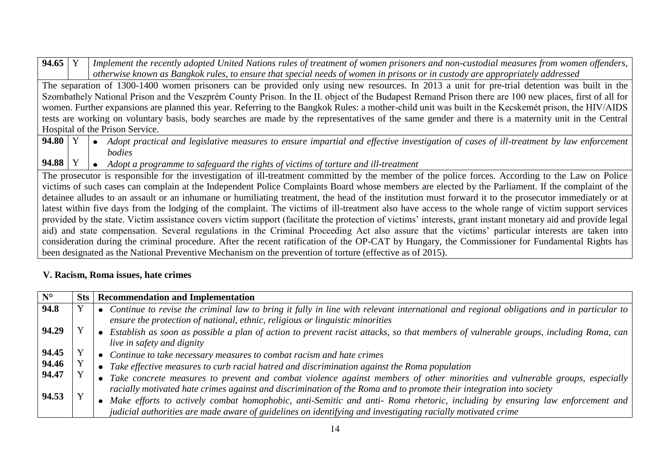| 94.65 Y         | Implement the recently adopted United Nations rules of treatment of women prisoners and non-custodial measures from women offenders,                          |
|-----------------|---------------------------------------------------------------------------------------------------------------------------------------------------------------|
|                 | otherwise known as Bangkok rules, to ensure that special needs of women in prisons or in custody are appropriately addressed                                  |
|                 | The separation of 1300-1400 women prisoners can be provided only using new resources. In 2013 a unit for pre-trial detention was built in the                 |
|                 | Szombathely National Prison and the Veszprém County Prison. In the II. object of the Budapest Remand Prison there are 100 new places, first of all for        |
|                 | women. Further expansions are planned this year. Referring to the Bangkok Rules: a mother-child unit was built in the Kecskemét prison, the HIV/AIDS          |
|                 | tests are working on voluntary basis, body searches are made by the representatives of the same gender and there is a maternity unit in the Central           |
|                 | Hospital of the Prison Service.                                                                                                                               |
| 94.80 $\vert$ Y | • Adopt practical and legislative measures to ensure impartial and effective investigation of cases of ill-treatment by law enforcement                       |
|                 | bodies                                                                                                                                                        |
|                 |                                                                                                                                                               |
| 94.88   Y       | • Adopt a programme to safeguard the rights of victims of torture and ill-treatment                                                                           |
|                 | The prosecutor is responsible for the investigation of ill-treatment committed by the member of the police forces. According to the Law on Police             |
|                 | victims of such cases can complain at the Independent Police Complaints Board whose members are elected by the Parliament. If the complaint of the            |
|                 | detainee alludes to an assault or an inhumane or humiliating treatment, the head of the institution must forward it to the prosecutor immediately or at       |
|                 | latest within five days from the lodging of the complaint. The victims of ill-treatment also have access to the whole range of victim support services        |
|                 | provided by the state. Victim assistance covers victim support (facilitate the protection of victims' interests, grant instant monetary aid and provide legal |
|                 | aid) and state compensation. Several regulations in the Criminal Proceeding Act also assure that the victims' particular interests are taken into             |
|                 | consideration during the criminal procedure. After the recent ratification of the OP-CAT by Hungary, the Commissioner for Fundamental Rights has              |

# **V. Racism, Roma issues, hate crimes**

| $N^{\circ}$ | <b>Sts</b> | <b>Recommendation and Implementation</b>                                                                                                                                                                                 |
|-------------|------------|--------------------------------------------------------------------------------------------------------------------------------------------------------------------------------------------------------------------------|
| 94.8        |            | Continue to revise the criminal law to bring it fully in line with relevant international and regional obligations and in particular to<br>ensure the protection of national, ethnic, religious or linguistic minorities |
| 94.29       |            |                                                                                                                                                                                                                          |
|             |            | Establish as soon as possible a plan of action to prevent racist attacks, so that members of vulnerable groups, including Roma, can<br>live in safety and dignity                                                        |
| 94.45       |            | • Continue to take necessary measures to combat racism and hate crimes                                                                                                                                                   |
| 94.46       |            | Take effective measures to curb racial hatred and discrimination against the Roma population                                                                                                                             |
| 94.47       |            | • Take concrete measures to prevent and combat violence against members of other minorities and vulnerable groups, especially                                                                                            |
|             |            | racially motivated hate crimes against and discrimination of the Roma and to promote their integration into society                                                                                                      |
| 94.53       |            | Make efforts to actively combat homophobic, anti-Semitic and anti- Roma rhetoric, including by ensuring law enforcement and                                                                                              |
|             |            | judicial authorities are made aware of guidelines on identifying and investigating racially motivated crime                                                                                                              |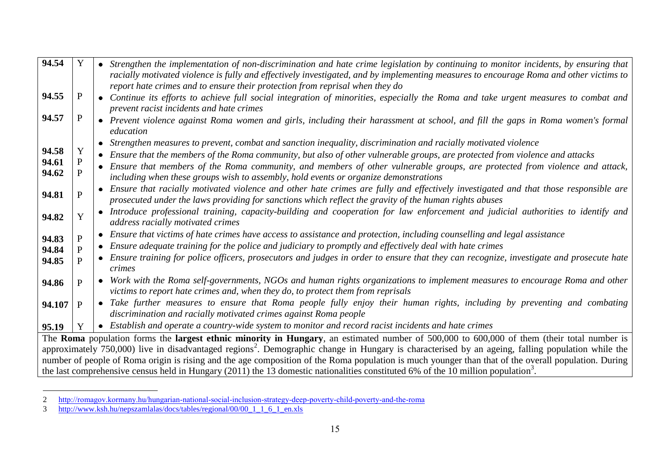| 94.54                                                                                                                                           | Y              | • Strengthen the implementation of non-discrimination and hate crime legislation by continuing to monitor incidents, by ensuring that                                                                                                           |  |
|-------------------------------------------------------------------------------------------------------------------------------------------------|----------------|-------------------------------------------------------------------------------------------------------------------------------------------------------------------------------------------------------------------------------------------------|--|
|                                                                                                                                                 |                | racially motivated violence is fully and effectively investigated, and by implementing measures to encourage Roma and other victims to<br>report hate crimes and to ensure their protection from reprisal when they do                          |  |
| 94.55                                                                                                                                           | P              | • Continue its efforts to achieve full social integration of minorities, especially the Roma and take urgent measures to combat and                                                                                                             |  |
|                                                                                                                                                 |                | prevent racist incidents and hate crimes                                                                                                                                                                                                        |  |
| 94.57                                                                                                                                           | $\mathbf{P}$   | • Prevent violence against Roma women and girls, including their harassment at school, and fill the gaps in Roma women's formal<br>education                                                                                                    |  |
|                                                                                                                                                 |                | • Strengthen measures to prevent, combat and sanction inequality, discrimination and racially motivated violence                                                                                                                                |  |
| 94.58                                                                                                                                           | Y              | • Ensure that the members of the Roma community, but also of other vulnerable groups, are protected from violence and attacks                                                                                                                   |  |
| 94.61<br>94.62                                                                                                                                  | P<br>P         | • Ensure that members of the Roma community, and members of other vulnerable groups, are protected from violence and attack,<br>including when these groups wish to assembly, hold events or organize demonstrations                            |  |
| 94.81                                                                                                                                           | $\mathbf{P}$   | • Ensure that racially motivated violence and other hate crimes are fully and effectively investigated and that those responsible are<br>prosecuted under the laws providing for sanctions which reflect the gravity of the human rights abuses |  |
| 94.82                                                                                                                                           | Ý              | • Introduce professional training, capacity-building and cooperation for law enforcement and judicial authorities to identify and<br>address racially motivated crimes                                                                          |  |
| 94.83                                                                                                                                           | P              | • Ensure that victims of hate crimes have access to assistance and protection, including counselling and legal assistance                                                                                                                       |  |
| 94.84                                                                                                                                           | $\overline{P}$ | • Ensure adequate training for the police and judiciary to promptly and effectively deal with hate crimes                                                                                                                                       |  |
| 94.85                                                                                                                                           |                | • Ensure training for police officers, prosecutors and judges in order to ensure that they can recognize, investigate and prosecute hate<br>crimes                                                                                              |  |
| 94.86                                                                                                                                           | P              | • Work with the Roma self-governments, NGOs and human rights organizations to implement measures to encourage Roma and other                                                                                                                    |  |
|                                                                                                                                                 |                | victims to report hate crimes and, when they do, to protect them from reprisals                                                                                                                                                                 |  |
| 94.107                                                                                                                                          | $\mathbf{P}$   | • Take further measures to ensure that Roma people fully enjoy their human rights, including by preventing and combating                                                                                                                        |  |
|                                                                                                                                                 |                | discrimination and racially motivated crimes against Roma people                                                                                                                                                                                |  |
| 95.19                                                                                                                                           | Y              | • Establish and operate a country-wide system to monitor and record racist incidents and hate crimes                                                                                                                                            |  |
|                                                                                                                                                 |                | The Roma population forms the largest ethnic minority in Hungary, an estimated number of 500,000 to 600,000 of them (their total number is                                                                                                      |  |
|                                                                                                                                                 |                | approximately 750,000) live in disadvantaged regions <sup>2</sup> . Demographic change in Hungary is characterised by an ageing, falling population while the                                                                                   |  |
|                                                                                                                                                 |                | number of people of Roma origin is rising and the age composition of the Roma population is much younger than that of the overall population. During                                                                                            |  |
| the last comprehensive census held in Hungary $(2011)$ the 13 domestic nationalities constituted 6% of the 10 million population <sup>3</sup> . |                |                                                                                                                                                                                                                                                 |  |

<sup>2</sup> <http://romagov.kormany.hu/hungarian-national-social-inclusion-strategy-deep-poverty-child-poverty-and-the-roma>

 $\overline{a}$ 

<sup>3</sup> [http://www.ksh.hu/nepszamlalas/docs/tables/regional/00/00\\_1\\_1\\_6\\_1\\_en.xls](http://www.ksh.hu/nepszamlalas/docs/tables/regional/00/00_1_1_6_1_en.xls)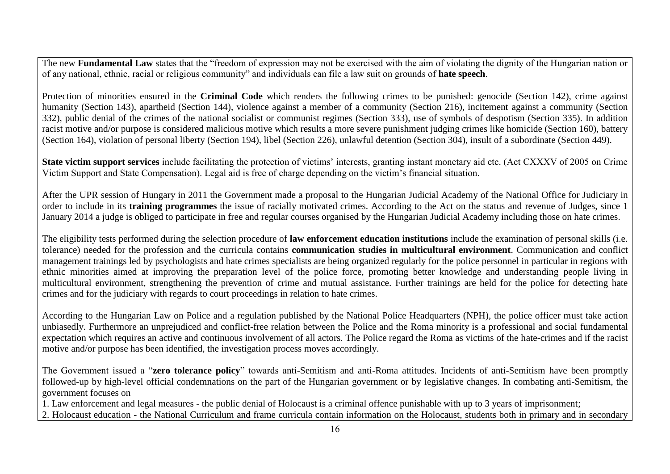The new **Fundamental Law** states that the "freedom of expression may not be exercised with the aim of violating the dignity of the Hungarian nation or of any national, ethnic, racial or religious community" and individuals can file a law suit on grounds of **hate speech**.

Protection of minorities ensured in the **Criminal Code** which renders the following crimes to be punished: genocide (Section 142), crime against humanity (Section 143), apartheid (Section 144), violence against a member of a community (Section 216), incitement against a community (Section 332), public denial of the crimes of the national socialist or communist regimes (Section 333), use of symbols of despotism (Section 335). In addition racist motive and/or purpose is considered malicious motive which results a more severe punishment judging crimes like homicide (Section 160), battery (Section 164), violation of personal liberty (Section 194), libel (Section 226), unlawful detention (Section 304), insult of a subordinate (Section 449).

**State victim support services** include facilitating the protection of victims' interests, granting instant monetary aid etc. (Act CXXXV of 2005 on Crime Victim Support and State Compensation). Legal aid is free of charge depending on the victim's financial situation.

After the UPR session of Hungary in 2011 the Government made a proposal to the Hungarian Judicial Academy of the National Office for Judiciary in order to include in its **training programmes** the issue of racially motivated crimes. According to the Act on the status and revenue of Judges, since 1 January 2014 a judge is obliged to participate in free and regular courses organised by the Hungarian Judicial Academy including those on hate crimes.

The eligibility tests performed during the selection procedure of **law enforcement education institutions** include the examination of personal skills (i.e. tolerance) needed for the profession and the curricula contains **communication studies in multicultural environment**. Communication and conflict management trainings led by psychologists and hate crimes specialists are being organized regularly for the police personnel in particular in regions with ethnic minorities aimed at improving the preparation level of the police force, promoting better knowledge and understanding people living in multicultural environment, strengthening the prevention of crime and mutual assistance. Further trainings are held for the police for detecting hate crimes and for the judiciary with regards to court proceedings in relation to hate crimes.

According to the Hungarian Law on Police and a regulation published by the National Police Headquarters (NPH), the police officer must take action unbiasedly. Furthermore an unprejudiced and conflict-free relation between the Police and the Roma minority is a professional and social fundamental expectation which requires an active and continuous involvement of all actors. The Police regard the Roma as victims of the hate-crimes and if the racist motive and/or purpose has been identified, the investigation process moves accordingly.

The Government issued a "**zero tolerance policy**" towards anti-Semitism and anti-Roma attitudes. Incidents of anti-Semitism have been promptly followed-up by high-level official condemnations on the part of the Hungarian government or by legislative changes. In combating anti-Semitism, the government focuses on

1. Law enforcement and legal measures - the public denial of Holocaust is a criminal offence punishable with up to 3 years of imprisonment; 2. Holocaust education - the National Curriculum and frame curricula contain information on the Holocaust, students both in primary and in secondary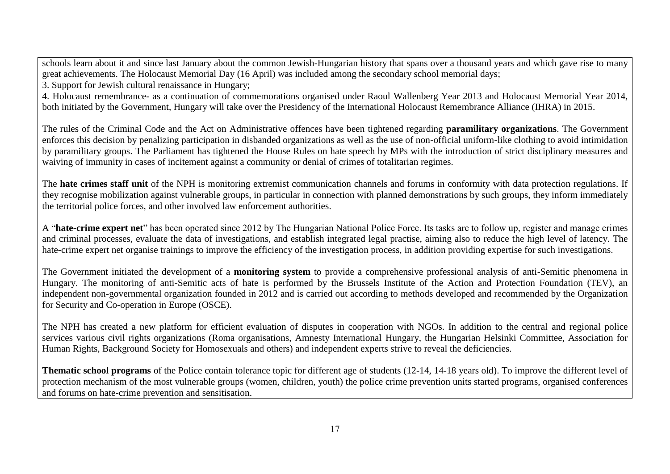schools learn about it and since last January about the common Jewish-Hungarian history that spans over a thousand years and which gave rise to many great achievements. The Holocaust Memorial Day (16 April) was included among the secondary school memorial days;

3. Support for Jewish cultural renaissance in Hungary;

4. Holocaust remembrance- as a continuation of commemorations organised under Raoul Wallenberg Year 2013 and Holocaust Memorial Year 2014, both initiated by the Government, Hungary will take over the Presidency of the International Holocaust Remembrance Alliance (IHRA) in 2015.

The rules of the Criminal Code and the Act on Administrative offences have been tightened regarding **paramilitary organizations**. The Government enforces this decision by penalizing participation in disbanded organizations as well as the use of non-official uniform-like clothing to avoid intimidation by paramilitary groups. The Parliament has tightened the House Rules on hate speech by MPs with the introduction of strict disciplinary measures and waiving of immunity in cases of incitement against a community or denial of crimes of totalitarian regimes.

The **hate crimes staff unit** of the NPH is monitoring extremist communication channels and forums in conformity with data protection regulations. If they recognise mobilization against vulnerable groups, in particular in connection with planned demonstrations by such groups, they inform immediately the territorial police forces, and other involved law enforcement authorities.

A "**hate-crime expert net**" has been operated since 2012 by The Hungarian National Police Force. Its tasks are to follow up, register and manage crimes and criminal processes, evaluate the data of investigations, and establish integrated legal practise, aiming also to reduce the high level of latency. The hate-crime expert net organise trainings to improve the efficiency of the investigation process, in addition providing expertise for such investigations.

The Government initiated the development of a **monitoring system** to provide a comprehensive professional analysis of anti-Semitic phenomena in Hungary. The monitoring of anti-Semitic acts of hate is performed by the Brussels Institute of the Action and Protection Foundation (TEV), an independent non-governmental organization founded in 2012 and is carried out according to methods developed and recommended by the Organization for Security and Co-operation in Europe (OSCE).

The NPH has created a new platform for efficient evaluation of disputes in cooperation with NGOs. In addition to the central and regional police services various civil rights organizations (Roma organisations, Amnesty International Hungary, the Hungarian Helsinki Committee, Association for Human Rights, Background Society for Homosexuals and others) and independent experts strive to reveal the deficiencies.

**Thematic school programs** of the Police contain tolerance topic for different age of students (12-14, 14-18 years old). To improve the different level of protection mechanism of the most vulnerable groups (women, children, youth) the police crime prevention units started programs, organised conferences and forums on hate-crime prevention and sensitisation.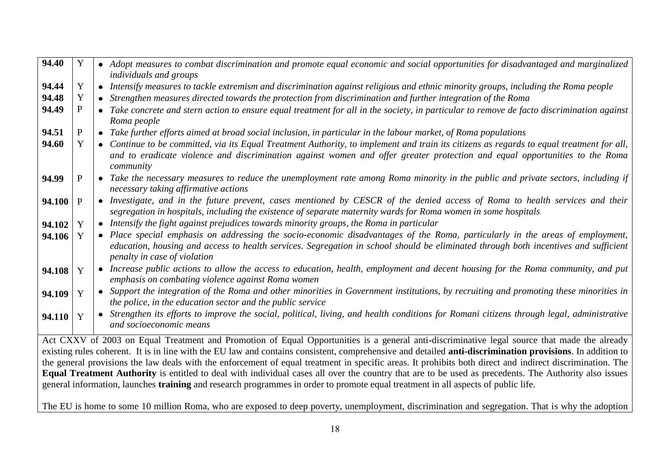| 94.40  | Y | • Adopt measures to combat discrimination and promote equal economic and social opportunities for disadvantaged and marginalized<br><i>individuals and groups</i>                                                                                                                                    |
|--------|---|------------------------------------------------------------------------------------------------------------------------------------------------------------------------------------------------------------------------------------------------------------------------------------------------------|
| 94.44  | Y | • Intensify measures to tackle extremism and discrimination against religious and ethnic minority groups, including the Roma people                                                                                                                                                                  |
| 94.48  | Y | • Strengthen measures directed towards the protection from discrimination and further integration of the Roma                                                                                                                                                                                        |
| 94.49  |   | • Take concrete and stern action to ensure equal treatment for all in the society, in particular to remove de facto discrimination against                                                                                                                                                           |
|        |   | Roma people                                                                                                                                                                                                                                                                                          |
| 94.51  | P | • Take further efforts aimed at broad social inclusion, in particular in the labour market, of Roma populations                                                                                                                                                                                      |
| 94.60  |   | • Continue to be committed, via its Equal Treatment Authority, to implement and train its citizens as regards to equal treatment for all,<br>and to eradicate violence and discrimination against women and offer greater protection and equal opportunities to the Roma<br>community                |
| 94.99  | P | • Take the necessary measures to reduce the unemployment rate among Roma minority in the public and private sectors, including if<br>necessary taking affirmative actions                                                                                                                            |
| 94.100 | P | • Investigate, and in the future prevent, cases mentioned by CESCR of the denied access of Roma to health services and their<br>segregation in hospitals, including the existence of separate maternity wards for Roma women in some hospitals                                                       |
| 94.102 | Y | • Intensify the fight against prejudices towards minority groups, the Roma in particular                                                                                                                                                                                                             |
| 94.106 |   | • Place special emphasis on addressing the socio-economic disadvantages of the Roma, particularly in the areas of employment,<br>education, housing and access to health services. Segregation in school should be eliminated through both incentives and sufficient<br>penalty in case of violation |
| 94.108 | Y | • Increase public actions to allow the access to education, health, employment and decent housing for the Roma community, and put<br>emphasis on combating violence against Roma women                                                                                                               |
| 94.109 | Y | • Support the integration of the Roma and other minorities in Government institutions, by recruiting and promoting these minorities in<br>the police, in the education sector and the public service                                                                                                 |
| 94.110 | Y | • Strengthen its efforts to improve the social, political, living, and health conditions for Romani citizens through legal, administrative<br>and socioeconomic means                                                                                                                                |
|        |   | Act CXXV of 2003 on Equal Treatment and Promotion of Equal Opportunities is a general anti-discriminative legal source that made the already                                                                                                                                                         |
|        |   | existing rules coherent. It is in line with the EU law and contains consistent, comprehensive and detailed anti-discrimination provisions. In addition to                                                                                                                                            |
|        |   | the general provisions the law deals with the enforcement of equal treatment in specific areas. It prohibits both direct and indirect discrimination. The                                                                                                                                            |
|        |   | Equal Treatment Authority is entitled to deal with individual cases all over the country that are to be used as precedents. The Authority also issues                                                                                                                                                |

The EU is home to some 10 million Roma, who are exposed to deep poverty, unemployment, discrimination and segregation. That is why the adoption

general information, launches **training** and research programmes in order to promote equal treatment in all aspects of public life.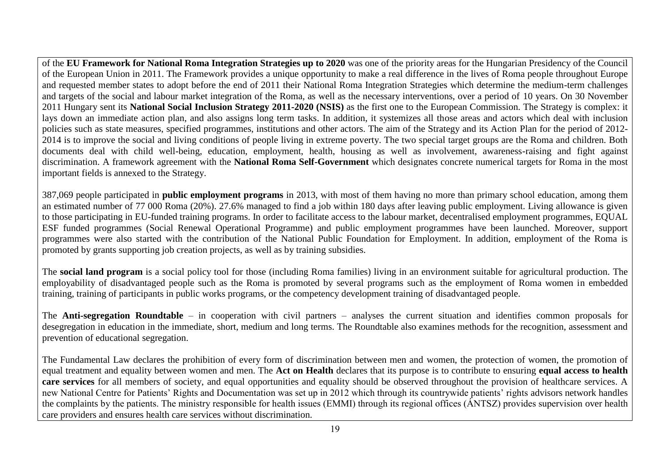of the **EU Framework for National Roma Integration Strategies up to 2020** was one of the priority areas for the Hungarian Presidency of the Council of the European Union in 2011. The Framework provides a unique opportunity to make a real difference in the lives of Roma people throughout Europe and requested member states to adopt before the end of 2011 their National Roma Integration Strategies which determine the medium-term challenges and targets of the social and labour market integration of the Roma, as well as the necessary interventions, over a period of 10 years. On 30 November 2011 Hungary sent its **National Social Inclusion Strategy 2011-2020 (NSIS)** as the first one to the European Commission. The Strategy is complex: it lays down an immediate action plan, and also assigns long term tasks. In addition, it systemizes all those areas and actors which deal with inclusion policies such as state measures, specified programmes, institutions and other actors. The aim of the Strategy and its Action Plan for the period of 2012- 2014 is to improve the social and living conditions of people living in extreme poverty. The two special target groups are the Roma and children. Both documents deal with child well-being, education, employment, health, housing as well as involvement, awareness-raising and fight against discrimination. A framework agreement with the **National Roma Self-Government** which designates concrete numerical targets for Roma in the most important fields is annexed to the Strategy.

387,069 people participated in **public employment programs** in 2013, with most of them having no more than primary school education, among them an estimated number of 77 000 Roma (20%). 27.6% managed to find a job within 180 days after leaving public employment. Living allowance is given to those participating in EU-funded training programs. In order to facilitate access to the labour market, decentralised employment programmes, EQUAL ESF funded programmes (Social Renewal Operational Programme) and public employment programmes have been launched. Moreover, support programmes were also started with the contribution of the National Public Foundation for Employment. In addition, employment of the Roma is promoted by grants supporting job creation projects, as well as by training subsidies.

The **social land program** is a social policy tool for those (including Roma families) living in an environment suitable for agricultural production. The employability of disadvantaged people such as the Roma is promoted by several programs such as the employment of Roma women in embedded training, training of participants in public works programs, or the competency development training of disadvantaged people.

The **Anti-segregation Roundtable** – in cooperation with civil partners – analyses the current situation and identifies common proposals for desegregation in education in the immediate, short, medium and long terms. The Roundtable also examines methods for the recognition, assessment and prevention of educational segregation.

The Fundamental Law declares the prohibition of every form of discrimination between men and women, the protection of women, the promotion of equal treatment and equality between women and men. The **Act on Health** declares that its purpose is to contribute to ensuring **equal access to health**  care services for all members of society, and equal opportunities and equality should be observed throughout the provision of healthcare services. A new National Centre for Patients' Rights and Documentation was set up in 2012 which through its countrywide patients' rights advisors network handles the complaints by the patients. The ministry responsible for health issues (EMMI) through its regional offices (ÁNTSZ) provides supervision over health care providers and ensures health care services without discrimination.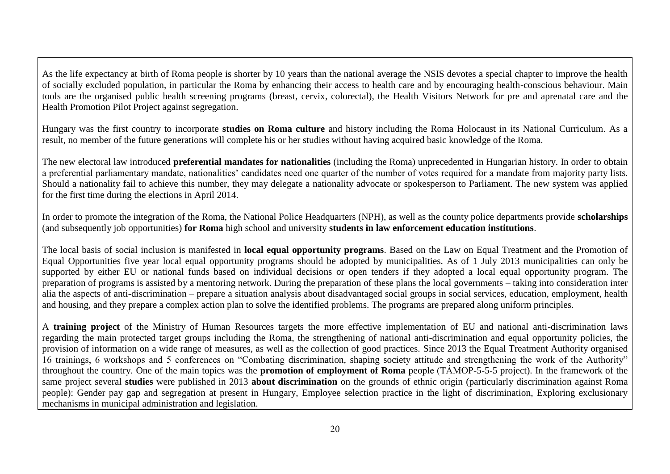As the life expectancy at birth of Roma people is shorter by 10 years than the national average the NSIS devotes a special chapter to improve the health of socially excluded population, in particular the Roma by enhancing their access to health care and by encouraging health-conscious behaviour. Main tools are the organised public health screening programs (breast, cervix, colorectal), the Health Visitors Network for pre and aprenatal care and the Health Promotion Pilot Project against segregation.

Hungary was the first country to incorporate **studies on Roma culture** and history including the Roma Holocaust in its National Curriculum. As a result, no member of the future generations will complete his or her studies without having acquired basic knowledge of the Roma.

The new electoral law introduced **preferential mandates for nationalities** (including the Roma) unprecedented in Hungarian history. In order to obtain a preferential parliamentary mandate, nationalities' candidates need one quarter of the number of votes required for a mandate from majority party lists. Should a nationality fail to achieve this number, they may delegate a nationality advocate or spokesperson to Parliament. The new system was applied for the first time during the elections in April 2014.

In order to promote the integration of the Roma, the National Police Headquarters (NPH), as well as the county police departments provide **scholarships** (and subsequently job opportunities) **for Roma** high school and university **students in law enforcement education institutions**.

The local basis of social inclusion is manifested in **local equal opportunity programs**. Based on the Law on Equal Treatment and the Promotion of Equal Opportunities five year local equal opportunity programs should be adopted by municipalities. As of 1 July 2013 municipalities can only be supported by either EU or national funds based on individual decisions or open tenders if they adopted a local equal opportunity program. The preparation of programs is assisted by a mentoring network. During the preparation of these plans the local governments – taking into consideration inter alia the aspects of anti-discrimination – prepare a situation analysis about disadvantaged social groups in social services, education, employment, health and housing, and they prepare a complex action plan to solve the identified problems. The programs are prepared along uniform principles.

A **training project** of the Ministry of Human Resources targets the more effective implementation of EU and national anti-discrimination laws regarding the main protected target groups including the Roma, the strengthening of national anti-discrimination and equal opportunity policies, the provision of information on a wide range of measures, as well as the collection of good practices. Since 2013 the Equal Treatment Authority organised 16 trainings, 6 workshops and 5 conferences on "Combating discrimination, shaping society attitude and strengthening the work of the Authority" throughout the country. One of the main topics was the **promotion of employment of Roma** people (TÁMOP-5-5-5 project). In the framework of the same project several **studies** were published in 2013 **about discrimination** on the grounds of ethnic origin (particularly discrimination against Roma people): Gender pay gap and segregation at present in Hungary, Employee selection practice in the light of discrimination, Exploring exclusionary mechanisms in municipal administration and legislation.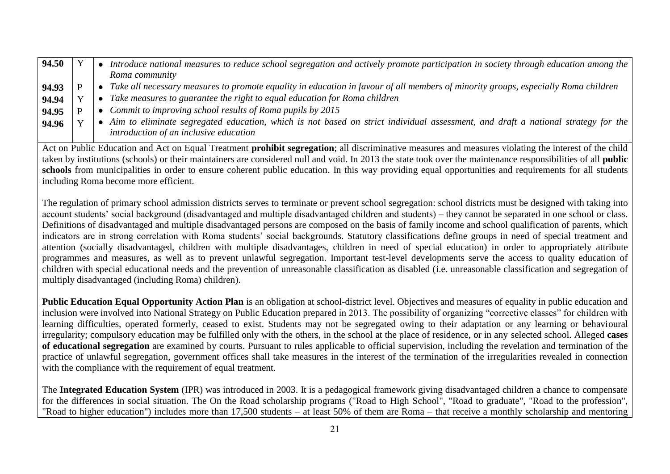| 94.50 |  | Introduce national measures to reduce school segregation and actively promote participation in society through education among the |
|-------|--|------------------------------------------------------------------------------------------------------------------------------------|
|       |  | Roma community                                                                                                                     |
| 94.93 |  | Take all necessary measures to promote equality in education in favour of all members of minority groups, especially Roma children |
| 94.94 |  | Take measures to guarantee the right to equal education for Roma children                                                          |
| 94.95 |  | • Commit to improving school results of Roma pupils by $2015$                                                                      |
| 94.96 |  | Aim to eliminate segregated education, which is not based on strict individual assessment, and draft a national strategy for the   |
|       |  | introduction of an inclusive education                                                                                             |

Act on Public Education and Act on Equal Treatment **prohibit segregation**; all discriminative measures and measures violating the interest of the child taken by institutions (schools) or their maintainers are considered null and void. In 2013 the state took over the maintenance responsibilities of all **public**  schools from municipalities in order to ensure coherent public education. In this way providing equal opportunities and requirements for all students including Roma become more efficient.

The regulation of primary school admission districts serves to terminate or prevent school segregation: school districts must be designed with taking into account students' social background (disadvantaged and multiple disadvantaged children and students) – they cannot be separated in one school or class. Definitions of disadvantaged and multiple disadvantaged persons are composed on the basis of family income and school qualification of parents, which indicators are in strong correlation with Roma students' social backgrounds. Statutory classifications define groups in need of special treatment and attention (socially disadvantaged, children with multiple disadvantages, children in need of special education) in order to appropriately attribute programmes and measures, as well as to prevent unlawful segregation. Important test-level developments serve the access to quality education of children with special educational needs and the prevention of unreasonable classification as disabled (i.e. unreasonable classification and segregation of multiply disadvantaged (including Roma) children).

Public Education Equal Opportunity Action Plan is an obligation at school-district level. Objectives and measures of equality in public education and inclusion were involved into National Strategy on Public Education prepared in 2013. The possibility of organizing "corrective classes" for children with learning difficulties, operated formerly, ceased to exist. Students may not be segregated owing to their adaptation or any learning or behavioural irregularity; compulsory education may be fulfilled only with the others, in the school at the place of residence, or in any selected school. Alleged **cases of educational segregation** are examined by courts. Pursuant to rules applicable to official supervision, including the revelation and termination of the practice of unlawful segregation, government offices shall take measures in the interest of the termination of the irregularities revealed in connection with the compliance with the requirement of equal treatment.

The **Integrated Education System** (IPR) was introduced in 2003. It is a pedagogical framework giving disadvantaged children a chance to compensate for the differences in social situation. The On the Road scholarship programs ("Road to High School", "Road to graduate", "Road to the profession", "Road to higher education") includes more than 17,500 students – at least 50% of them are Roma – that receive a monthly scholarship and mentoring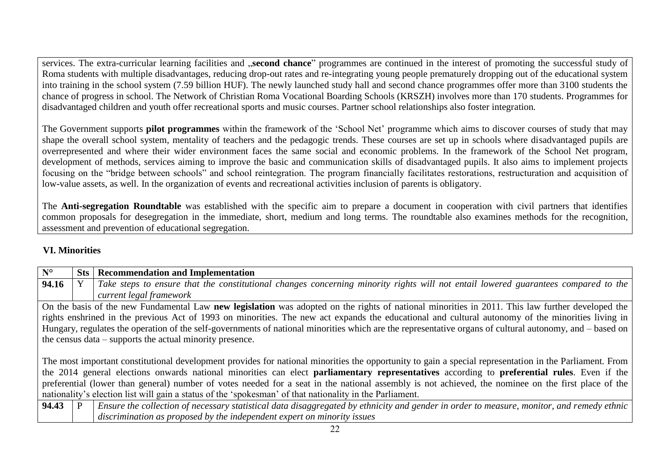services. The extra-curricular learning facilities and "**second chance**" programmes are continued in the interest of promoting the successful study of Roma students with multiple disadvantages, reducing drop-out rates and re-integrating young people prematurely dropping out of the educational system into training in the school system (7.59 billion HUF). The newly launched study hall and second chance programmes offer more than 3100 students the chance of progress in school. The Network of Christian Roma Vocational Boarding Schools (KRSZH) involves more than 170 students. Programmes for disadvantaged children and youth offer recreational sports and music courses. Partner school relationships also foster integration*.*

The Government supports **pilot programmes** within the framework of the 'School Net' programme which aims to discover courses of study that may shape the overall school system, mentality of teachers and the pedagogic trends. These courses are set up in schools where disadvantaged pupils are overrepresented and where their wider environment faces the same social and economic problems. In the framework of the School Net program, development of methods, services aiming to improve the basic and communication skills of disadvantaged pupils. It also aims to implement projects focusing on the "bridge between schools" and school reintegration. The program financially facilitates restorations, restructuration and acquisition of low-value assets, as well. In the organization of events and recreational activities inclusion of parents is obligatory.

The **Anti-segregation Roundtable** was established with the specific aim to prepare a document in cooperation with civil partners that identifies common proposals for desegregation in the immediate, short, medium and long terms. The roundtable also examines methods for the recognition, assessment and prevention of educational segregation.

# **VI. Minorities**

| Take steps to ensure that the constitutional changes concerning minority rights will not entail lowered guarantees compared to the                       |
|----------------------------------------------------------------------------------------------------------------------------------------------------------|
|                                                                                                                                                          |
|                                                                                                                                                          |
| On the basis of the new Fundamental Law new legislation was adopted on the rights of national minorities in 2011. This law further developed the         |
| rights enshrined in the previous Act of 1993 on minorities. The new act expands the educational and cultural autonomy of the minorities living in        |
| Hungary, regulates the operation of the self-governments of national minorities which are the representative organs of cultural autonomy, and – based on |
|                                                                                                                                                          |
|                                                                                                                                                          |
| The most important constitutional development provides for national minorities the opportunity to gain a special representation in the Parliament. From  |
| the 2014 general elections onwards national minorities can elect parliamentary representatives according to preferential rules. Even if the              |
| preferential (lower than general) number of votes needed for a seat in the national assembly is not achieved, the nominee on the first place of the      |
|                                                                                                                                                          |
| Ensure the collection of necessary statistical data disaggregated by ethnicity and gender in order to measure, monitor, and remedy ethnic                |
|                                                                                                                                                          |
|                                                                                                                                                          |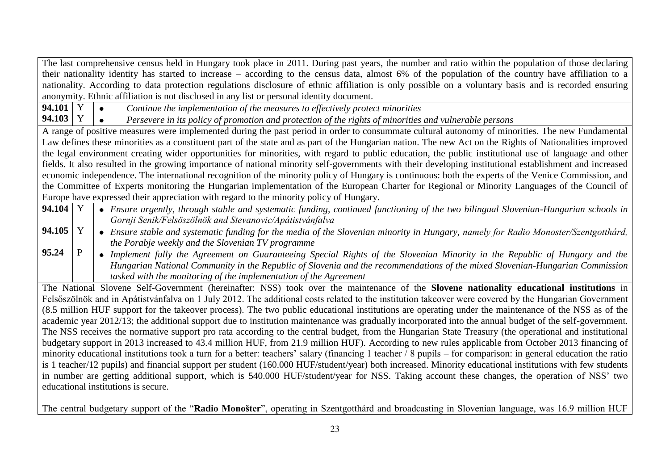The last comprehensive census held in Hungary took place in 2011. During past years, the number and ratio within the population of those declaring their nationality identity has started to increase – according to the census data, almost 6% of the population of the country have affiliation to a nationality. According to data protection regulations disclosure of ethnic affiliation is only possible on a voluntary basis and is recorded ensuring anonymity. Ethnic affiliation is not disclosed in any list or personal identity document.

**94.101** Y *Continue the implementation of the measures to effectively protect minorities*  $\bullet$ 

**94.103** Y *Persevere in its policy of promotion and protection of the rights of minorities and vulnerable persons*  $\bullet$ 

A range of positive measures were implemented during the past period in order to consummate cultural autonomy of minorities. The new Fundamental Law defines these minorities as a constituent part of the state and as part of the Hungarian nation. The new Act on the Rights of Nationalities improved the legal environment creating wider opportunities for minorities, with regard to public education, the public institutional use of language and other fields. It also resulted in the growing importance of national minority self-governments with their developing institutional establishment and increased economic independence. The international recognition of the minority policy of Hungary is continuous: both the experts of the Venice Commission, and the Committee of Experts monitoring the Hungarian implementation of the European Charter for Regional or Minority Languages of the Council of Europe have expressed their appreciation with regard to the minority policy of Hungary.

- **94.104** Y *Ensure urgently, through stable and systematic funding, continued functioning of the two bilingual Slovenian-Hungarian schools in Gornji Senik/Felsöszölnök and Stevanovic/Apátistvánfalva*
- **94.105** Y *Ensure stable and systematic funding for the media of the Slovenian minority in Hungary, namely for Radio Monoster/Szentgotthárd, the Porabje weekly and the Slovenian TV programme*
- **95.24** P *Implement fully the Agreement on Guaranteeing Special Rights of the Slovenian Minority in the Republic of Hungary and the Hungarian National Community in the Republic of Slovenia and the recommendations of the mixed Slovenian-Hungarian Commission tasked with the monitoring of the implementation of the Agreement*

The National Slovene Self-Government (hereinafter: NSS) took over the maintenance of the **Slovene nationality educational institutions** in Felsőszölnök and in Apátistvánfalva on 1 July 2012. The additional costs related to the institution takeover were covered by the Hungarian Government (8.5 million HUF support for the takeover process). The two public educational institutions are operating under the maintenance of the NSS as of the academic year 2012/13; the additional support due to institution maintenance was gradually incorporated into the annual budget of the self-government. The NSS receives the normative support pro rata according to the central budget, from the Hungarian State Treasury (the operational and institutional budgetary support in 2013 increased to 43.4 million HUF, from 21.9 million HUF). According to new rules applicable from October 2013 financing of minority educational institutions took a turn for a better: teachers' salary (financing 1 teacher / 8 pupils – for comparison: in general education the ratio is 1 teacher/12 pupils) and financial support per student (160.000 HUF/student/year) both increased. Minority educational institutions with few students in number are getting additional support, which is 540.000 HUF/student/year for NSS. Taking account these changes, the operation of NSS' two educational institutions is secure.

The central budgetary support of the "**Radio Monošter**", operating in Szentgotthárd and broadcasting in Slovenian language, was 16.9 million HUF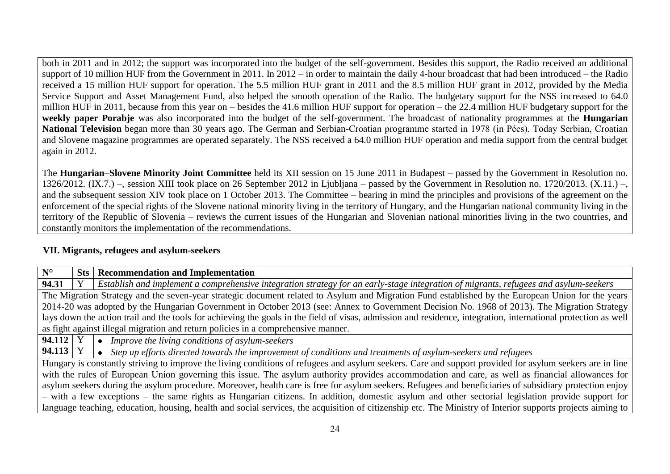both in 2011 and in 2012; the support was incorporated into the budget of the self-government. Besides this support, the Radio received an additional support of 10 million HUF from the Government in 2011. In 2012 – in order to maintain the daily 4-hour broadcast that had been introduced – the Radio received a 15 million HUF support for operation. The 5.5 million HUF grant in 2011 and the 8.5 million HUF grant in 2012, provided by the Media Service Support and Asset Management Fund, also helped the smooth operation of the Radio. The budgetary support for the NSS increased to 64.0 million HUF in 2011, because from this year on – besides the 41.6 million HUF support for operation – the 22.4 million HUF budgetary support for the **weekly paper Porabje** was also incorporated into the budget of the self-government. The broadcast of nationality programmes at the **Hungarian National Television** began more than 30 years ago. The German and Serbian-Croatian programme started in 1978 (in Pécs). Today Serbian, Croatian and Slovene magazine programmes are operated separately. The NSS received a 64.0 million HUF operation and media support from the central budget again in 2012.

The **Hungarian–Slovene Minority Joint Committee** held its XII session on 15 June 2011 in Budapest – passed by the Government in Resolution no. 1326/2012. (IX.7.) –, session XIII took place on 26 September 2012 in Ljubljana – passed by the Government in Resolution no. 1720/2013. (X.11.) –, and the subsequent session XIV took place on 1 October 2013. The Committee – bearing in mind the principles and provisions of the agreement on the enforcement of the special rights of the Slovene national minority living in the territory of Hungary, and the Hungarian national community living in the territory of the Republic of Slovenia – reviews the current issues of the Hungarian and Slovenian national minorities living in the two countries, and constantly monitors the implementation of the recommendations.

### **VII. Migrants, refugees and asylum-seekers**

| $N^{\circ}$                                                                                                                                             | Sts | <b>Recommendation and Implementation</b>                                                                                                                       |  |  |
|---------------------------------------------------------------------------------------------------------------------------------------------------------|-----|----------------------------------------------------------------------------------------------------------------------------------------------------------------|--|--|
| 94.31                                                                                                                                                   |     | Establish and implement a comprehensive integration strategy for an early-stage integration of migrants, refugees and asylum-seekers                           |  |  |
|                                                                                                                                                         |     | The Migration Strategy and the seven-year strategic document related to Asylum and Migration Fund established by the European Union for the years              |  |  |
|                                                                                                                                                         |     | 2014-20 was adopted by the Hungarian Government in October 2013 (see: Annex to Government Decision No. 1968 of 2013). The Migration Strategy                   |  |  |
|                                                                                                                                                         |     | lays down the action trail and the tools for achieving the goals in the field of visas, admission and residence, integration, international protection as well |  |  |
|                                                                                                                                                         |     | as fight against illegal migration and return policies in a comprehensive manner.                                                                              |  |  |
| $94.112$ Y                                                                                                                                              |     | Improve the living conditions of asylum-seekers                                                                                                                |  |  |
| <b>94.113</b>   Y                                                                                                                                       |     | Step up efforts directed towards the improvement of conditions and treatments of asylum-seekers and refugees                                                   |  |  |
|                                                                                                                                                         |     | Hungary is constantly striving to improve the living conditions of refugees and asylum seekers. Care and support provided for asylum seekers are in line       |  |  |
| with the rules of European Union governing this issue. The asylum authority provides accommodation and care, as well as financial allowances for        |     |                                                                                                                                                                |  |  |
| asylum seekers during the asylum procedure. Moreover, health care is free for asylum seekers. Refugees and beneficiaries of subsidiary protection enjoy |     |                                                                                                                                                                |  |  |
| - with a few exceptions - the same rights as Hungarian citizens. In addition, domestic asylum and other sectorial legislation provide support for       |     |                                                                                                                                                                |  |  |
|                                                                                                                                                         |     | language teaching, education, housing, health and social services, the acquisition of citizenship etc. The Ministry of Interior supports projects aiming to    |  |  |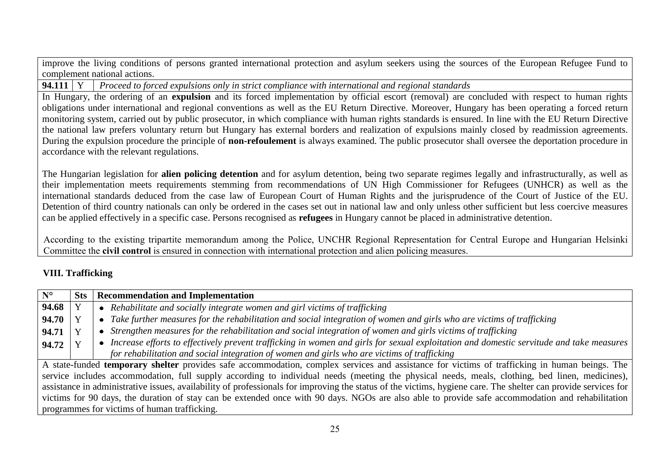improve the living conditions of persons granted international protection and asylum seekers using the sources of the European Refugee Fund to complement national actions.

**94.111** Y *Proceed to forced expulsions only in strict compliance with international and regional standards*

In Hungary, the ordering of an **expulsion** and its forced implementation by official escort (removal) are concluded with respect to human rights obligations under international and regional conventions as well as the EU Return Directive. Moreover, Hungary has been operating a forced return monitoring system, carried out by public prosecutor, in which compliance with human rights standards is ensured. In line with the EU Return Directive the national law prefers voluntary return but Hungary has external borders and realization of expulsions mainly closed by readmission agreements. During the expulsion procedure the principle of **non-refoulement** is always examined. The public prosecutor shall oversee the deportation procedure in accordance with the relevant regulations.

The Hungarian legislation for **alien policing detention** and for asylum detention, being two separate regimes legally and infrastructurally, as well as their implementation meets requirements stemming from recommendations of UN High Commissioner for Refugees (UNHCR) as well as the international standards deduced from the case law of European Court of Human Rights and the jurisprudence of the Court of Justice of the EU. Detention of third country nationals can only be ordered in the cases set out in national law and only unless other sufficient but less coercive measures can be applied effectively in a specific case. Persons recognised as **refugees** in Hungary cannot be placed in administrative detention.

According to the existing tripartite memorandum among the Police, UNCHR Regional Representation for Central Europe and Hungarian Helsinki Committee the **civil control** is ensured in connection with international protection and alien policing measures.

# **VIII. Trafficking**

| $\overline{\mathbf{N}^{\circ}}$                                                                                                               | <b>Sts</b>                                                                                                                                                     | <b>Recommendation and Implementation</b>                                                                                                             |  |
|-----------------------------------------------------------------------------------------------------------------------------------------------|----------------------------------------------------------------------------------------------------------------------------------------------------------------|------------------------------------------------------------------------------------------------------------------------------------------------------|--|
| 94.68                                                                                                                                         |                                                                                                                                                                | • Rehabilitate and socially integrate women and girl victims of trafficking                                                                          |  |
| 94.70                                                                                                                                         |                                                                                                                                                                | • Take further measures for the rehabilitation and social integration of women and girls who are victims of trafficking                              |  |
| 94.71                                                                                                                                         |                                                                                                                                                                | • Strengthen measures for the rehabilitation and social integration of women and girls victims of trafficking                                        |  |
| 94.72                                                                                                                                         |                                                                                                                                                                | Increase efforts to effectively prevent trafficking in women and girls for sexual exploitation and domestic servitude and take measures<br>$\bullet$ |  |
|                                                                                                                                               |                                                                                                                                                                | for rehabilitation and social integration of women and girls who are victims of trafficking                                                          |  |
| A state-funded temporary shelter provides safe accommodation, complex services and assistance for victims of trafficking in human beings. The |                                                                                                                                                                |                                                                                                                                                      |  |
|                                                                                                                                               | service includes accommodation, full supply according to individual needs (meeting the physical needs, meals, clothing, bed linen, medicines),                 |                                                                                                                                                      |  |
|                                                                                                                                               | assistance in administrative issues, availability of professionals for improving the status of the victims, hygiene care. The shelter can provide services for |                                                                                                                                                      |  |
|                                                                                                                                               | victims for 90 days, the duration of stay can be extended once with 90 days. NGOs are also able to provide safe accommodation and rehabilitation               |                                                                                                                                                      |  |
|                                                                                                                                               |                                                                                                                                                                | programmes for victims of human trafficking.                                                                                                         |  |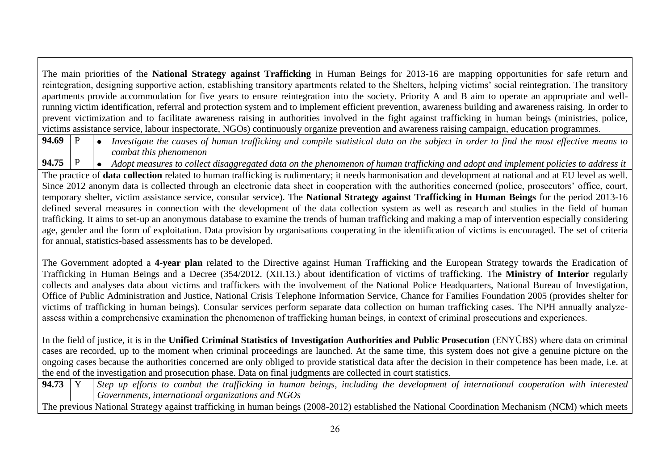The main priorities of the **National Strategy against Trafficking** in Human Beings for 2013-16 are mapping opportunities for safe return and reintegration, designing supportive action, establishing transitory apartments related to the Shelters, helping victims' social reintegration. The transitory apartments provide accommodation for five years to ensure reintegration into the society. Priority A and B aim to operate an appropriate and wellrunning victim identification, referral and protection system and to implement efficient prevention, awareness building and awareness raising. In order to prevent victimization and to facilitate awareness raising in authorities involved in the fight against trafficking in human beings (ministries, police, victims assistance service, labour inspectorate, NGOs) continuously organize prevention and awareness raising campaign, education programmes.

**94.69** P *Investigate the causes of human trafficking and compile statistical data on the subject in order to find the most effective means to combat this phenomenon* 

**94.75** P *Adopt measures to collect disaggregated data on the phenomenon of human trafficking and adopt and implement policies to address it* The practice of **data collection** related to human trafficking is rudimentary; it needs harmonisation and development at national and at EU level as well. Since 2012 anonym data is collected through an electronic data sheet in cooperation with the authorities concerned (police, prosecutors' office, court, temporary shelter, victim assistance service, consular service). The **National Strategy against Trafficking in Human Beings** for the period 2013-16 defined several measures in connection with the development of the data collection system as well as research and studies in the field of human trafficking. It aims to set-up an anonymous database to examine the trends of human trafficking and making a map of intervention especially considering age, gender and the form of exploitation. Data provision by organisations cooperating in the identification of victims is encouraged. The set of criteria for annual, statistics-based assessments has to be developed.

The Government adopted a **4-year plan** related to the Directive against Human Trafficking and the European Strategy towards the Eradication of Trafficking in Human Beings and a Decree (354/2012. (XII.13.) about identification of victims of trafficking. The **Ministry of Interior** regularly collects and analyses data about victims and traffickers with the involvement of the National Police Headquarters, National Bureau of Investigation, Office of Public Administration and Justice, National Crisis Telephone Information Service, Chance for Families Foundation 2005 (provides shelter for victims of trafficking in human beings). Consular services perform separate data collection on human trafficking cases. The NPH annually analyzeassess within a comprehensive examination the phenomenon of trafficking human beings, in context of criminal prosecutions and experiences.

In the field of justice, it is in the **Unified Criminal Statistics of Investigation Authorities and Public Prosecution** (ENYÜBS) where data on criminal cases are recorded, up to the moment when criminal proceedings are launched. At the same time, this system does not give a genuine picture on the ongoing cases because the authorities concerned are only obliged to provide statistical data after the decision in their competence has been made, i.e. at the end of the investigation and prosecution phase. Data on final judgments are collected in court statistics.

| 94.73  | including the development of<br><i>in</i><br>beings,<br>human<br>combat<br>with<br>the<br>international<br>ettorts<br>trafficking<br>cooperation<br>interested<br>up<br><b>Step</b><br>t0 |
|--------|-------------------------------------------------------------------------------------------------------------------------------------------------------------------------------------------|
|        | NGOs<br>$\ldots$ international organizations and $\ldots$<br>Governments,                                                                                                                 |
| l 2001 | (2000.2012)                                                                                                                                                                               |

The previous National Strategy against trafficking in human beings (2008-2012) established the National Coordination Mechanism (NCM) which meets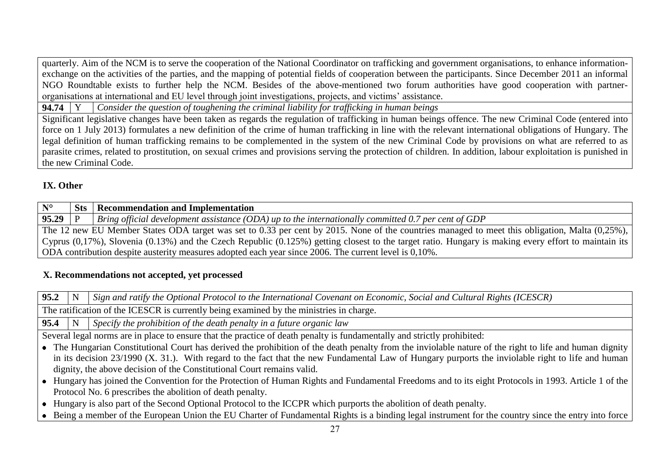quarterly. Aim of the NCM is to serve the cooperation of the National Coordinator on trafficking and government organisations, to enhance informationexchange on the activities of the parties, and the mapping of potential fields of cooperation between the participants. Since December 2011 an informal NGO Roundtable exists to further help the NCM. Besides of the above-mentioned two forum authorities have good cooperation with partnerorganisations at international and EU level through joint investigations, projects, and victims' assistance.

**94.74** Y *Consider the question of toughening the criminal liability for trafficking in human beings* 

Significant legislative changes have been taken as regards the regulation of trafficking in human beings offence. The new Criminal Code (entered into force on 1 July 2013) formulates a new definition of the crime of human trafficking in line with the relevant international obligations of Hungary. The legal definition of human trafficking remains to be complemented in the system of the new Criminal Code by provisions on what are referred to as parasite crimes, related to prostitution, on sexual crimes and provisions serving the protection of children. In addition, labour exploitation is punished in the new Criminal Code.

# **IX. Other**

| $N^{\circ}$                                                                                                                                                    | <b>Sts</b> | <b>Recommendation and Implementation</b>                                                              |
|----------------------------------------------------------------------------------------------------------------------------------------------------------------|------------|-------------------------------------------------------------------------------------------------------|
| $95.29$ P                                                                                                                                                      |            | Bring official development assistance (ODA) up to the internationally committed 0.7 per cent of GDP   |
| The 12 new EU Member States ODA target was set to 0.33 per cent by 2015. None of the countries managed to meet this obligation, Malta (0.25%),                 |            |                                                                                                       |
| Cyprus $(0,17\%)$ , Slovenia $(0.13\%)$ and the Czech Republic $(0.125\%)$ getting closest to the target ratio. Hungary is making every effort to maintain its |            |                                                                                                       |
|                                                                                                                                                                |            | ODA contribution despite austerity measures adopted each year since 2006. The current level is 0,10%. |

# **X. Recommendations not accepted, yet processed**

**95.2** N *Sign and ratify the Optional Protocol to the International Covenant on Economic, Social and Cultural Rights (ICESCR)* 

The ratification of the ICESCR is currently being examined by the ministries in charge.

**95.4**  $\vert$  N  $\vert$  *Specify the prohibition of the death penalty in a future organic law* 

Several legal norms are in place to ensure that the practice of death penalty is fundamentally and strictly prohibited:

- The Hungarian Constitutional Court has derived the prohibition of the death penalty from the inviolable nature of the right to life and human dignity in its decision 23/1990 (X. 31.). With regard to the fact that the new Fundamental Law of Hungary purports the inviolable right to life and human dignity, the above decision of the Constitutional Court remains valid.
- Hungary has joined the Convention for the Protection of Human Rights and Fundamental Freedoms and to its eight Protocols in 1993. Article 1 of the Protocol No. 6 prescribes the abolition of death penalty.
- Hungary is also part of the Second Optional Protocol to the ICCPR which purports the abolition of death penalty.
- Being a member of the European Union the EU Charter of Fundamental Rights is a binding legal instrument for the country since the entry into force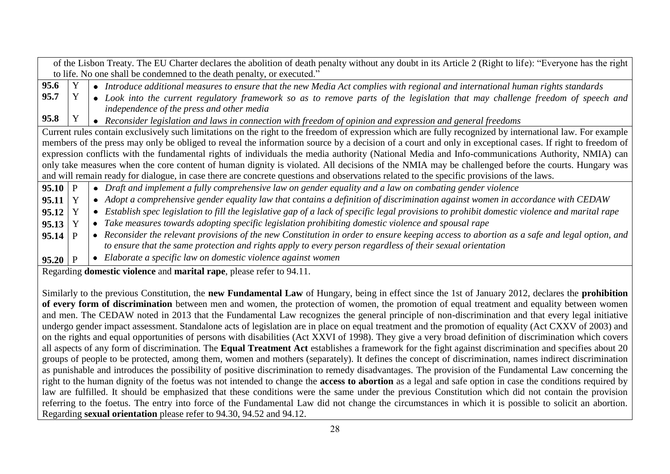|                                                                                                                                                   |                                                                        |           | of the Lisbon Treaty. The EU Charter declares the abolition of death penalty without any doubt in its Article 2 (Right to life): "Everyone has the right  |
|---------------------------------------------------------------------------------------------------------------------------------------------------|------------------------------------------------------------------------|-----------|-----------------------------------------------------------------------------------------------------------------------------------------------------------|
|                                                                                                                                                   | to life. No one shall be condemned to the death penalty, or executed." |           |                                                                                                                                                           |
| 95.6                                                                                                                                              |                                                                        |           | • Introduce additional measures to ensure that the new Media Act complies with regional and international human rights standards                          |
| 95.7                                                                                                                                              | Y                                                                      |           | • Look into the current regulatory framework so as to remove parts of the legislation that may challenge freedom of speech and                            |
|                                                                                                                                                   |                                                                        |           | independence of the press and other media                                                                                                                 |
| 95.8                                                                                                                                              |                                                                        |           | • Reconsider legislation and laws in connection with freedom of opinion and expression and general freedoms                                               |
|                                                                                                                                                   |                                                                        |           | Current rules contain exclusively such limitations on the right to the freedom of expression which are fully recognized by international law. For example |
|                                                                                                                                                   |                                                                        |           | members of the press may only be obliged to reveal the information source by a decision of a court and only in exceptional cases. If right to freedom of  |
| expression conflicts with the fundamental rights of individuals the media authority (National Media and Info-communications Authority, NMIA) can  |                                                                        |           |                                                                                                                                                           |
| only take measures when the core content of human dignity is violated. All decisions of the NMIA may be challenged before the courts. Hungary was |                                                                        |           |                                                                                                                                                           |
| and will remain ready for dialogue, in case there are concrete questions and observations related to the specific provisions of the laws.         |                                                                        |           |                                                                                                                                                           |
| $95.10$ P                                                                                                                                         |                                                                        |           | • Draft and implement a fully comprehensive law on gender equality and a law on combating gender violence                                                 |
| 95.11                                                                                                                                             | Y                                                                      |           | • Adopt a comprehensive gender equality law that contains a definition of discrimination against women in accordance with CEDAW                           |
| 95.12                                                                                                                                             |                                                                        |           | Establish spec legislation to fill the legislative gap of a lack of specific legal provisions to prohibit domestic violence and marital rape              |
| 95.13                                                                                                                                             |                                                                        |           | Take measures towards adopting specific legislation prohibiting domestic violence and spousal rape                                                        |
| 95.14                                                                                                                                             |                                                                        |           | Reconsider the relevant provisions of the new Constitution in order to ensure keeping access to abortion as a safe and legal option, and                  |
|                                                                                                                                                   |                                                                        |           | to ensure that the same protection and rights apply to every person regardless of their sexual orientation                                                |
| $95.20$ P                                                                                                                                         |                                                                        | $\bullet$ | Elaborate a specific law on domestic violence against women                                                                                               |
| Regarding <b>domestic violence</b> and <b>marital rape</b> , please refer to 94.11.                                                               |                                                                        |           |                                                                                                                                                           |

Similarly to the previous Constitution, the **new Fundamental Law** of Hungary, being in effect since the 1st of January 2012, declares the **prohibition of every form of discrimination** between men and women, the protection of women, the promotion of equal treatment and equality between women and men. The CEDAW noted in 2013 that the Fundamental Law recognizes the general principle of non-discrimination and that every legal initiative undergo gender impact assessment. Standalone acts of legislation are in place on equal treatment and the promotion of equality (Act CXXV of 2003) and on the rights and equal opportunities of persons with disabilities (Act XXVI of 1998). They give a very broad definition of discrimination which covers all aspects of any form of discrimination. The **Equal Treatment Act** establishes a framework for the fight against discrimination and specifies about 20 groups of people to be protected, among them, women and mothers (separately). It defines the concept of discrimination, names indirect discrimination as punishable and introduces the possibility of positive discrimination to remedy disadvantages. The provision of the Fundamental Law concerning the right to the human dignity of the foetus was not intended to change the **access to abortion** as a legal and safe option in case the conditions required by law are fulfilled. It should be emphasized that these conditions were the same under the previous Constitution which did not contain the provision referring to the foetus. The entry into force of the Fundamental Law did not change the circumstances in which it is possible to solicit an abortion. Regarding **sexual orientation** please refer to 94.30, 94.52 and 94.12.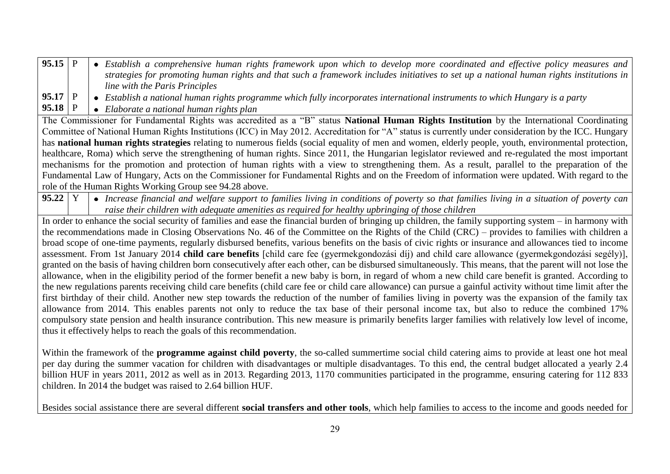| 95.15   P |  | Establish a comprehensive human rights framework upon which to develop more coordinated and effective policy measures and                                     |
|-----------|--|---------------------------------------------------------------------------------------------------------------------------------------------------------------|
|           |  | strategies for promoting human rights and that such a framework includes initiatives to set up a national human rights institutions in                        |
|           |  | line with the Paris Principles                                                                                                                                |
| $95.17$ P |  | Establish a national human rights programme which fully incorporates international instruments to which Hungary is a party                                    |
| 95.18 P   |  | • Elaborate a national human rights plan                                                                                                                      |
|           |  | The Commissioner for Fundamental Rights was accredited as a "B" status National Human Rights Institution by the International Coordinating                    |
|           |  | Committee of National Human Rights Institutions (ICC) in May 2012. Accreditation for "A" status is currently under consideration by the ICC. Hungary          |
|           |  | has <b>national human rights strategies</b> relating to numerous fields (social equality of men and women, elderly people, youth, environmental protection,   |
|           |  | healthcare, Roma) which serve the strengthening of human rights. Since 2011, the Hungarian legislator reviewed and re-regulated the most important            |
|           |  | mechanisms for the promotion and protection of human rights with a view to strengthening them. As a result, parallel to the preparation of the                |
|           |  | Fundamental Law of Hungary, Acts on the Commissioner for Fundamental Rights and on the Freedom of information were updated. With regard to the                |
|           |  | role of the Human Rights Working Group see 94.28 above.                                                                                                       |
| $95.22$ Y |  | • Increase financial and welfare support to families living in conditions of poverty so that families living in a situation of poverty can                    |
|           |  | raise their children with adequate amenities as required for healthy upbringing of those children                                                             |
|           |  | In order to enhance the social security of families and ease the financial burden of bringing up children, the family supporting system – in harmony with     |
|           |  | the recommendations made in Closing Observations No. 46 of the Committee on the Rights of the Child (CRC) – provides to families with children a              |
|           |  | broad scope of one-time payments, regularly disbursed benefits, various benefits on the basis of civic rights or insurance and allowances tied to income      |
|           |  | assessment. From 1st January 2014 child care benefits [child care fee (gyermekgondozási díj) and child care allowance (gyermekgondozási segély)],             |
|           |  | granted on the basis of having children born consecutively after each other, can be disbursed simultaneously. This means, that the parent will not lose the   |
|           |  | allowance, when in the eligibility period of the former benefit a new baby is born, in regard of whom a new child care benefit is granted. According to       |
|           |  | the new regulations parents receiving child care benefits (child care fee or child care allowance) can pursue a gainful activity without time limit after the |

first birthday of their child. Another new step towards the reduction of the number of families living in poverty was the expansion of the family tax allowance from 2014. This enables parents not only to reduce the tax base of their personal income tax, but also to reduce the combined 17% compulsory state pension and health insurance contribution. This new measure is primarily benefits larger families with relatively low level of income, thus it effectively helps to reach the goals of this recommendation.

Within the framework of the **programme against child poverty**, the so-called summertime social child catering aims to provide at least one hot meal per day during the summer vacation for children with disadvantages or multiple disadvantages. To this end, the central budget allocated a yearly 2.4 billion HUF in years 2011, 2012 as well as in 2013. Regarding 2013, 1170 communities participated in the programme, ensuring catering for 112 833 children. In 2014 the budget was raised to 2.64 billion HUF.

Besides social assistance there are several different **social transfers and other tools**, which help families to access to the income and goods needed for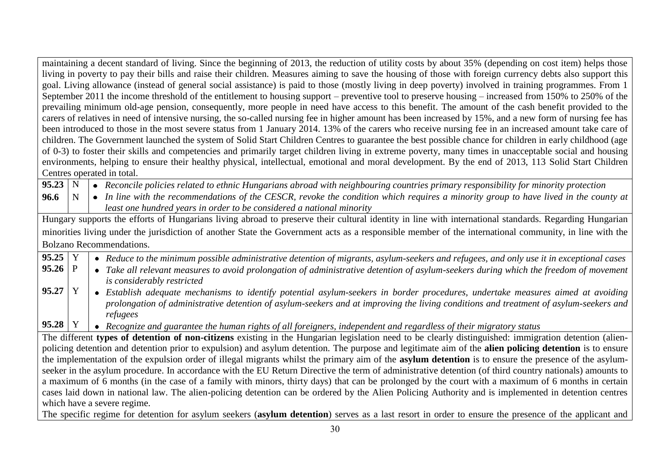|                                                                                                                                                        |                                                                                                                                                           |  | maintaining a decent standard of living. Since the beginning of 2013, the reduction of utility costs by about 35% (depending on cost item) helps those        |  |  |
|--------------------------------------------------------------------------------------------------------------------------------------------------------|-----------------------------------------------------------------------------------------------------------------------------------------------------------|--|---------------------------------------------------------------------------------------------------------------------------------------------------------------|--|--|
|                                                                                                                                                        | living in poverty to pay their bills and raise their children. Measures aiming to save the housing of those with foreign currency debts also support this |  |                                                                                                                                                               |  |  |
|                                                                                                                                                        |                                                                                                                                                           |  | goal. Living allowance (instead of general social assistance) is paid to those (mostly living in deep poverty) involved in training programmes. From 1        |  |  |
|                                                                                                                                                        |                                                                                                                                                           |  | September 2011 the income threshold of the entitlement to housing support – preventive tool to preserve housing – increased from 150% to 250% of the          |  |  |
|                                                                                                                                                        |                                                                                                                                                           |  | prevailing minimum old-age pension, consequently, more people in need have access to this benefit. The amount of the cash benefit provided to the             |  |  |
|                                                                                                                                                        |                                                                                                                                                           |  | carers of relatives in need of intensive nursing, the so-called nursing fee in higher amount has been increased by 15%, and a new form of nursing fee has     |  |  |
|                                                                                                                                                        |                                                                                                                                                           |  | been introduced to those in the most severe status from 1 January 2014. 13% of the carers who receive nursing fee in an increased amount take care of         |  |  |
|                                                                                                                                                        |                                                                                                                                                           |  | children. The Government launched the system of Solid Start Children Centres to guarantee the best possible chance for children in early childhood (age       |  |  |
|                                                                                                                                                        |                                                                                                                                                           |  | of 0-3) to foster their skills and competencies and primarily target children living in extreme poverty, many times in unacceptable social and housing        |  |  |
|                                                                                                                                                        |                                                                                                                                                           |  | environments, helping to ensure their healthy physical, intellectual, emotional and moral development. By the end of 2013, 113 Solid Start Children           |  |  |
|                                                                                                                                                        |                                                                                                                                                           |  | Centres operated in total.                                                                                                                                    |  |  |
| $95.23 \mid N$                                                                                                                                         |                                                                                                                                                           |  | • Reconcile policies related to ethnic Hungarians abroad with neighbouring countries primary responsibility for minority protection                           |  |  |
| 96.6                                                                                                                                                   | $\mathbf N$                                                                                                                                               |  | • In line with the recommendations of the CESCR, revoke the condition which requires a minority group to have lived in the county at                          |  |  |
|                                                                                                                                                        |                                                                                                                                                           |  | least one hundred years in order to be considered a national minority                                                                                         |  |  |
| Hungary supports the efforts of Hungarians living abroad to preserve their cultural identity in line with international standards. Regarding Hungarian |                                                                                                                                                           |  |                                                                                                                                                               |  |  |
|                                                                                                                                                        |                                                                                                                                                           |  | minorities living under the jurisdiction of another State the Government acts as a responsible member of the international community, in line with the        |  |  |
|                                                                                                                                                        |                                                                                                                                                           |  | <b>Bolzano Recommendations.</b>                                                                                                                               |  |  |
| $95.25$ Y                                                                                                                                              |                                                                                                                                                           |  | • Reduce to the minimum possible administrative detention of migrants, asylum-seekers and refugees, and only use it in exceptional cases                      |  |  |
| $95.26$ P                                                                                                                                              |                                                                                                                                                           |  | • Take all relevant measures to avoid prolongation of administrative detention of asylum-seekers during which the freedom of movement                         |  |  |
|                                                                                                                                                        |                                                                                                                                                           |  | is considerably restricted                                                                                                                                    |  |  |
| 95.27                                                                                                                                                  | Y                                                                                                                                                         |  | • Establish adequate mechanisms to identify potential asylum-seekers in border procedures, undertake measures aimed at avoiding                               |  |  |
|                                                                                                                                                        |                                                                                                                                                           |  | prolongation of administrative detention of asylum-seekers and at improving the living conditions and treatment of asylum-seekers and                         |  |  |
|                                                                                                                                                        |                                                                                                                                                           |  | refugees                                                                                                                                                      |  |  |
| 95.28                                                                                                                                                  | Y                                                                                                                                                         |  | • Recognize and guarantee the human rights of all foreigners, independent and regardless of their migratory status                                            |  |  |
|                                                                                                                                                        |                                                                                                                                                           |  | The different types of detention of non-citizens existing in the Hungarian legislation need to be clearly distinguished: immigration detention (alien-        |  |  |
|                                                                                                                                                        |                                                                                                                                                           |  | policing detention and detention prior to expulsion) and asylum detention. The purpose and legitimate aim of the <b>alien policing detention</b> is to ensure |  |  |
|                                                                                                                                                        |                                                                                                                                                           |  | the implementation of the expulsion order of illegal migrants whilst the primary aim of the asylum detention is to ensure the presence of the asylum-         |  |  |
|                                                                                                                                                        | seeker in the asylum procedure. In accordance with the EU Return Directive the term of administrative detention (of third country nationals) amounts to   |  |                                                                                                                                                               |  |  |
| a maximum of 6 months (in the case of a family with minors, thirty days) that can be prolonged by the court with a maximum of 6 months in certain      |                                                                                                                                                           |  |                                                                                                                                                               |  |  |
| cases laid down in national law. The alien-policing detention can be ordered by the Alien Policing Authority and is implemented in detention centres   |                                                                                                                                                           |  |                                                                                                                                                               |  |  |
| which have a severe regime.                                                                                                                            |                                                                                                                                                           |  |                                                                                                                                                               |  |  |
|                                                                                                                                                        | The specific regime for detention for asylum seekers (asylum detention) serves as a last resort in order to ensure the presence of the applicant and      |  |                                                                                                                                                               |  |  |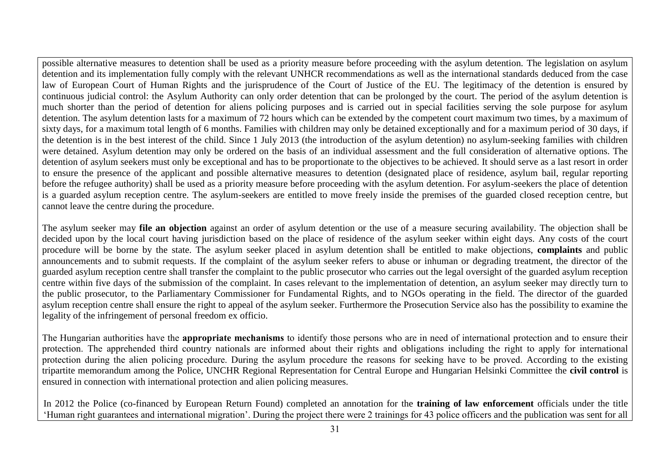possible alternative measures to detention shall be used as a priority measure before proceeding with the asylum detention. The legislation on asylum detention and its implementation fully comply with the relevant UNHCR recommendations as well as the international standards deduced from the case law of European Court of Human Rights and the jurisprudence of the Court of Justice of the EU. The legitimacy of the detention is ensured by continuous judicial control: the Asylum Authority can only order detention that can be prolonged by the court. The period of the asylum detention is much shorter than the period of detention for aliens policing purposes and is carried out in special facilities serving the sole purpose for asylum detention. The asylum detention lasts for a maximum of 72 hours which can be extended by the competent court maximum two times, by a maximum of sixty days, for a maximum total length of 6 months. Families with children may only be detained exceptionally and for a maximum period of 30 days, if the detention is in the best interest of the child. Since 1 July 2013 (the introduction of the asylum detention) no asylum-seeking families with children were detained. Asylum detention may only be ordered on the basis of an individual assessment and the full consideration of alternative options. The detention of asylum seekers must only be exceptional and has to be proportionate to the objectives to be achieved. It should serve as a last resort in order to ensure the presence of the applicant and possible alternative measures to detention (designated place of residence, asylum bail, regular reporting before the refugee authority) shall be used as a priority measure before proceeding with the asylum detention. For asylum-seekers the place of detention is a guarded asylum reception centre. The asylum-seekers are entitled to move freely inside the premises of the guarded closed reception centre, but cannot leave the centre during the procedure.

The asylum seeker may **file an objection** against an order of asylum detention or the use of a measure securing availability. The objection shall be decided upon by the local court having jurisdiction based on the place of residence of the asylum seeker within eight days. Any costs of the court procedure will be borne by the state. The asylum seeker placed in asylum detention shall be entitled to make objections, **complaints** and public announcements and to submit requests. If the complaint of the asylum seeker refers to abuse or inhuman or degrading treatment, the director of the guarded asylum reception centre shall transfer the complaint to the public prosecutor who carries out the legal oversight of the guarded asylum reception centre within five days of the submission of the complaint. In cases relevant to the implementation of detention, an asylum seeker may directly turn to the public prosecutor, to the Parliamentary Commissioner for Fundamental Rights, and to NGOs operating in the field. The director of the guarded asylum reception centre shall ensure the right to appeal of the asylum seeker. Furthermore the Prosecution Service also has the possibility to examine the legality of the infringement of personal freedom ex officio.

The Hungarian authorities have the **appropriate mechanisms** to identify those persons who are in need of international protection and to ensure their protection. The apprehended third country nationals are informed about their rights and obligations including the right to apply for international protection during the alien policing procedure. During the asylum procedure the reasons for seeking have to be proved. According to the existing tripartite memorandum among the Police, UNCHR Regional Representation for Central Europe and Hungarian Helsinki Committee the **civil control** is ensured in connection with international protection and alien policing measures.

In 2012 the Police (co-financed by European Return Found) completed an annotation for the **training of law enforcement** officials under the title 'Human right guarantees and international migration'. During the project there were 2 trainings for 43 police officers and the publication was sent for all